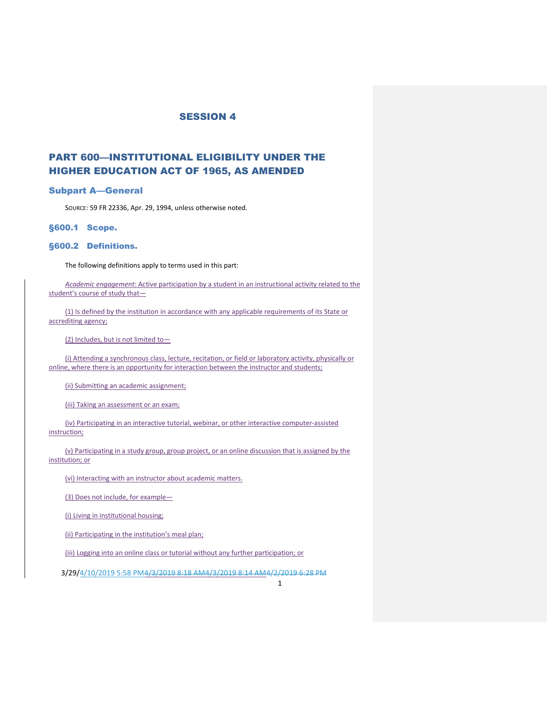# PART 600—INSTITUTIONAL ELIGIBILITY UNDER THE HIGHER EDUCATION ACT OF 1965, AS AMENDED

#### Subpart A—General

SOURCE: 59 FR 22336, Apr. 29, 1994, unless otherwise noted[.](https://www.ecfr.gov/cgi-bin/text-idx?SID=e06bac58004843af348abccdf247c6aa&mc=true&node=pt34.3.600&rgn=div5#_top)

#### §600.1 Scope.

#### §600.2 Definitions.

The following definitions apply to terms used in this part:

*Academic engagement*: Active participation by a student in an instructional activity related to the student's course of study that-

(1) Is defined by the institution in accordance with any applicable requirements of its State or accrediting agency;

(2) Includes, but is not limited to—

(i) Attending a synchronous class, lecture, recitation, or field or laboratory activity, physically or online, where there is an opportunity for interaction between the instructor and students;

(ii) Submitting an academic assignment;

(iii) Taking an assessment or an exam;

(iv) Participating in an interactive tutorial, webinar, or other interactive computer-assisted instruction;

(v) Participating in a study group, group project, or an online discussion that is assigned by the institution; or

(vi) Interacting with an instructor about academic matters.

(3) Does not include, for example—

(i) Living in institutional housing;

(ii) Participating in the institution's meal plan;

(iii) Logging into an online class or tutorial without any further participation; or

3/29/4/10/2019 5:58 PM4/3/2019 8:18 AM4/3/2019 8:14 AM4/2/2019 6:28 PM

1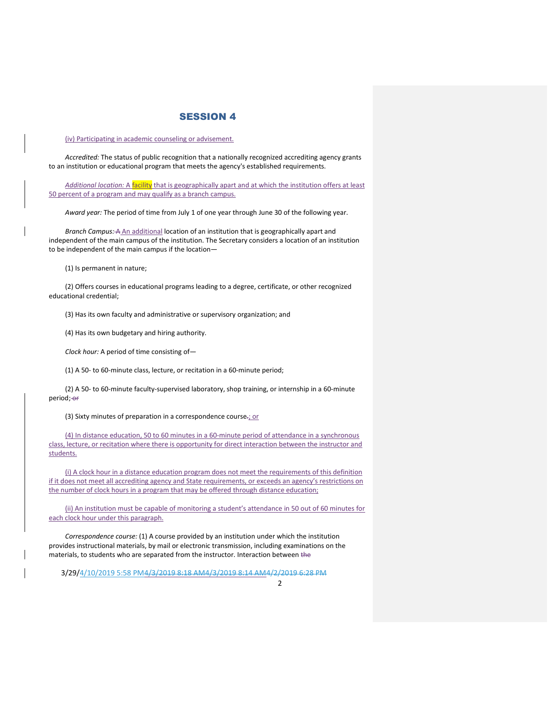(iv) Participating in academic counseling or advisement.

*Accredited:* The status of public recognition that a nationally recognized accrediting agency grants to an institution or educational program that meets the agency's established requirements.

*Additional location:* A facility that is geographically apart and at which the institution offers at least 50 percent of a program and may qualify as a branch campus.

*Award year:* The period of time from July 1 of one year through June 30 of the following year.

*Branch Campus:* A An additional location of an institution that is geographically apart and independent of the main campus of the institution. The Secretary considers a location of an institution to be independent of the main campus if the location—

(1) Is permanent in nature;

(2) Offers courses in educational programs leading to a degree, certificate, or other recognized educational credential;

(3) Has its own faculty and administrative or supervisory organization; and

(4) Has its own budgetary and hiring authority.

*Clock hour:* A period of time consisting of—

(1) A 50- to 60-minute class, lecture, or recitation in a 60-minute period;

(2) A 50- to 60-minute faculty-supervised laboratory, shop training, or internship in a 60-minute period; or

(3) Sixty minutes of preparation in a correspondence course-; or

(4) In distance education, 50 to 60 minutes in a 60-minute period of attendance in a synchronous class, lecture, or recitation where there is opportunity for direct interaction between the instructor and students.

(i) A clock hour in a distance education program does not meet the requirements of this definition if it does not meet all accrediting agency and State requirements, or exceeds an agency's restrictions on the number of clock hours in a program that may be offered through distance education;

(ii) An institution must be capable of monitoring a student's attendance in 50 out of 60 minutes for each clock hour under this paragraph.

*Correspondence course:* (1) A course provided by an institution under which the institution provides instructional materials, by mail or electronic transmission, including examinations on the materials, to students who are separated from the instructor. Interaction between the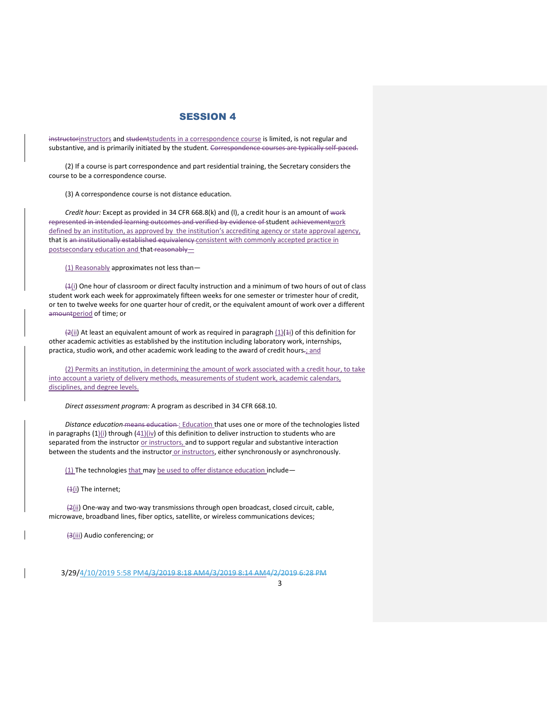instructorinstructors and studentstudents in a correspondence course is limited, is not regular and substantive, and is primarily initiated by the student. Correspondence courses are typically self-paced.

(2) If a course is part correspondence and part residential training, the Secretary considers the course to be a correspondence course.

(3) A correspondence course is not distance education.

*Credit hour:* Except as provided in 34 CFR 668.8(k) and (l), a credit hour is an amount of work represented in intended learning outcomes and verified by evidence of student achievementwork defined by an institution, as approved by the institution's accrediting agency or state approval agency, that is an institutionally established equivalency consistent with commonly accepted practice in postsecondary education and that reasonably-

(1) Reasonably approximates not less than—

 $(4(i)$  One hour of classroom or direct faculty instruction and a minimum of two hours of out of class student work each week for approximately fifteen weeks for one semester or trimester hour of credit, or ten to twelve weeks for one quarter hour of credit, or the equivalent amount of work over a different amountperiod of time; or

 $\frac{2}{ii}$  At least an equivalent amount of work as required in paragraph  $(1)(1i)$  of this definition for other academic activities as established by the institution including laboratory work, internships, practica, studio work, and other academic work leading to the award of credit hours.; and

(2) Permits an institution, in determining the amount of work associated with a credit hour, to take into account a variety of delivery methods, measurements of student work, academic calendars, disciplines, and degree levels.

*Direct assessment program:* A program as described in 34 CFR 668.10.

*Distance education* means education : Education that uses one or more of the technologies listed in paragraphs  $(1)$ (i) through  $(41)$ (iv) of this definition to deliver instruction to students who are separated from the instructor or instructors, and to support regular and substantive interaction between the students and the instructor or instructors, either synchronously or asynchronously.

(1) The technologies that may be used to offer distance education include-

 $(4(i)$  The internet;

(2(ii) One-way and two-way transmissions through open broadcast, closed circuit, cable, microwave, broadband lines, fiber optics, satellite, or wireless communications devices;

(3(iii) Audio conferencing; or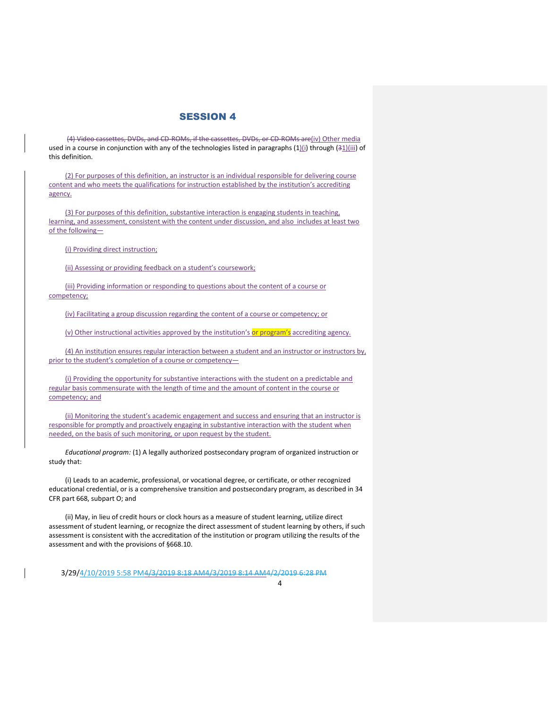(4) Video cassettes, DVDs, and CD-ROMs, if the cassettes, DVDs, or CD-ROMs are(iv) Other media used in a course in conjunction with any of the technologies listed in paragraphs  $(1)(i)$  through  $(31)(iii)$  of this definition.

(2) For purposes of this definition, an instructor is an individual responsible for delivering course content and who meets the qualifications for instruction established by the institution's accrediting agency.

(3) For purposes of this definition, substantive interaction is engaging students in teaching, learning, and assessment, consistent with the content under discussion, and also includes at least two of the following—

(i) Providing direct instruction;

(ii) Assessing or providing feedback on a student's coursework;

(iii) Providing information or responding to questions about the content of a course or competency;

(iv) Facilitating a group discussion regarding the content of a course or competency; or

(v) Other instructional activities approved by the institution's or program's accrediting agency.

(4) An institution ensures regular interaction between a student and an instructor or instructors by, prior to the student's completion of a course or competency—

(i) Providing the opportunity for substantive interactions with the student on a predictable and regular basis commensurate with the length of time and the amount of content in the course or competency; and

(ii) Monitoring the student's academic engagement and success and ensuring that an instructor is responsible for promptly and proactively engaging in substantive interaction with the student when needed, on the basis of such monitoring, or upon request by the student.

*Educational program:* (1) A legally authorized postsecondary program of organized instruction or study that:

(i) Leads to an academic, professional, or vocational degree, or certificate, or other recognized educational credential, or is a comprehensive transition and postsecondary program, as described in 34 CFR part 668, subpart O; and

(ii) May, in lieu of credit hours or clock hours as a measure of student learning, utilize direct assessment of student learning, or recognize the direct assessment of student learning by others, if such assessment is consistent with the accreditation of the institution or program utilizing the results of the assessment and with the provisions of §668.10.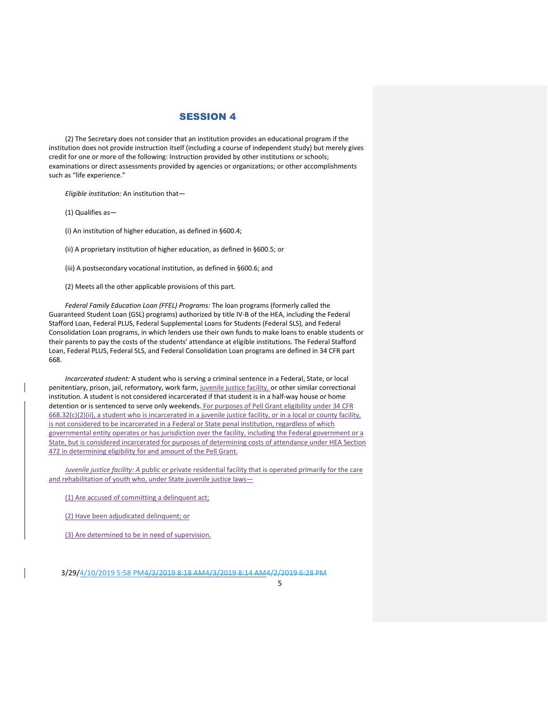(2) The Secretary does not consider that an institution provides an educational program if the institution does not provide instruction itself (including a course of independent study) but merely gives credit for one or more of the following: Instruction provided by other institutions or schools; examinations or direct assessments provided by agencies or organizations; or other accomplishments such as "life experience."

*Eligible institution:* An institution that—

(1) Qualifies as—

(i) An institution of higher education, as defined in §600.4;

(ii) A proprietary institution of higher education, as defined in §600.5; or

- (iii) A postsecondary vocational institution, as defined in §600.6; and
- (2) Meets all the other applicable provisions of this part.

*Federal Family Education Loan (FFEL) Programs:* The loan programs (formerly called the Guaranteed Student Loan (GSL) programs) authorized by title IV-B of the HEA, including the Federal Stafford Loan, Federal PLUS, Federal Supplemental Loans for Students (Federal SLS), and Federal Consolidation Loan programs, in which lenders use their own funds to make loans to enable students or their parents to pay the costs of the students' attendance at eligible institutions. The Federal Stafford Loan, Federal PLUS, Federal SLS, and Federal Consolidation Loan programs are defined in 34 CFR part 668.

*Incarcerated student:* A student who is serving a criminal sentence in a Federal, State, or local penitentiary, prison, jail, reformatory, work farm, juvenile justice facility, or other similar correctional institution. A student is not considered incarcerated if that student is in a half-way house or home detention or is sentenced to serve only weekends. For purposes of Pell Grant eligibility under 34 CFR  $668.32(c)(2)(ii)$ , a student who is incarcerated in a juvenile justice facility, or in a local or county facility, is not considered to be incarcerated in a Federal or State penal institution, regardless of which governmental entity operates or has jurisdiction over the facility, including the Federal government or a State, but is considered incarcerated for purposes of determining costs of attendance under HEA Section 472 in determining eligibility for and amount of the Pell Grant.

*Juvenile justice facility: A* public or private residential facility that is operated primarily for the care and rehabilitation of youth who, under State juvenile justice laws—

(1) Are accused of committing a delinquent act;

(2) Have been adjudicated delinquent; or

(3) Are determined to be in need of supervision.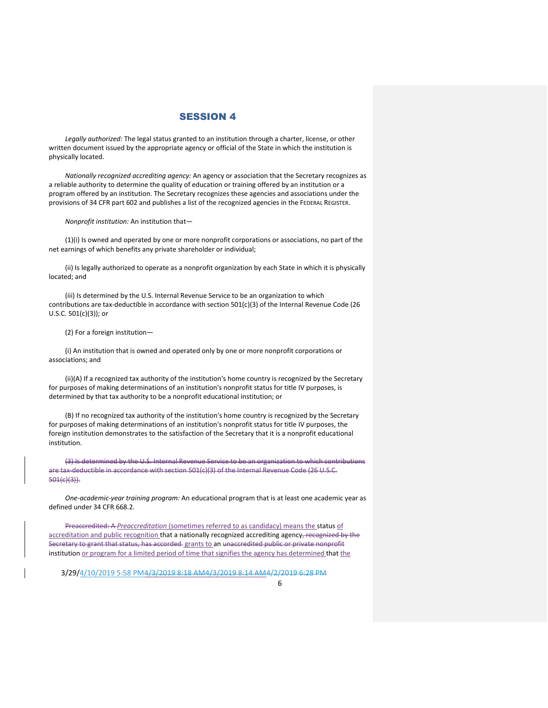*Legally authorized:* The legal status granted to an institution through a charter, license, or other written document issued by the appropriate agency or official of the State in which the institution is physically located.

*Nationally recognized accrediting agency:* An agency or association that the Secretary recognizes as a reliable authority to determine the quality of education or training offered by an institution or a program offered by an institution. The Secretary recognizes these agencies and associations under the provisions of 34 CFR part 602 and publishes a list of the recognized agencies in the FEDERAL REGISTER.

*Nonprofit institution:* An institution that—

(1)(i) Is owned and operated by one or more nonprofit corporations or associations, no part of the net earnings of which benefits any private shareholder or individual;

(ii) Is legally authorized to operate as a nonprofit organization by each State in which it is physically located; and

(iii) Is determined by the U.S. Internal Revenue Service to be an organization to which contributions are tax-deductible in accordance with section 501(c)(3) of the Internal Revenue Code (26 U.S.C. 501(c)(3)); or

(2) For a foreign institution—

(i) An institution that is owned and operated only by one or more nonprofit corporations or associations; and

(ii)(A) If a recognized tax authority of the institution's home country is recognized by the Secretary for purposes of making determinations of an institution's nonprofit status for title IV purposes, is determined by that tax authority to be a nonprofit educational institution; or

(B) If no recognized tax authority of the institution's home country is recognized by the Secretary for purposes of making determinations of an institution's nonprofit status for title IV purposes, the foreign institution demonstrates to the satisfaction of the Secretary that it is a nonprofit educational institution.

(3) Is determined by the U.S. Internal Revenue Service to be an organization to which contributions are tax-deductible in accordance with section 501(c)(3) of the Internal Revenue Code (26 U.S.C. 501(c)(3)).

*One-academic-year training program:* An educational program that is at least one academic year as defined under 34 CFR 668.2.

Preaccredited: A *Preaccreditation* (sometimes referred to as candidacy) means the status of accreditation and public recognition that a nationally recognized accrediting agency, recognized by the Secretary to grant that status, has accorded grants to an unaccredited public or private nonprofit institution or program for a limited period of time that signifies the agency has determined that the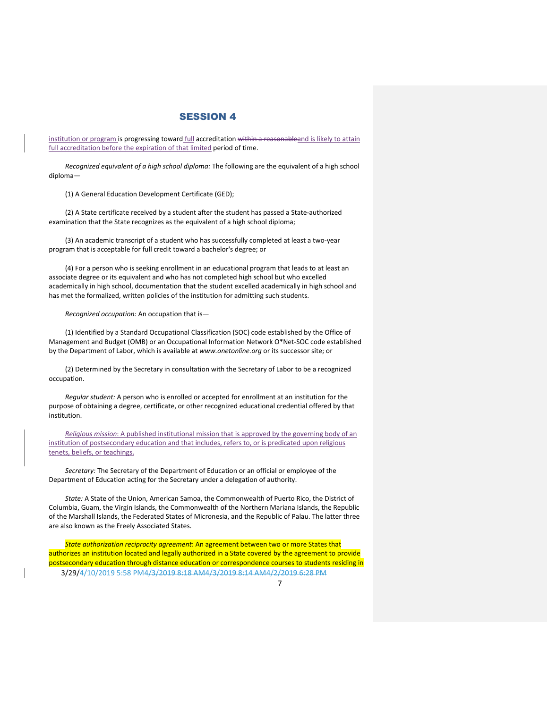institution or program is progressing toward full accreditation within a reasonableand is likely to attain full accreditation before the expiration of that limited period of time.

*Recognized equivalent of a high school diploma:* The following are the equivalent of a high school diploma—

(1) A General Education Development Certificate (GED);

(2) A State certificate received by a student after the student has passed a State-authorized examination that the State recognizes as the equivalent of a high school diploma;

(3) An academic transcript of a student who has successfully completed at least a two-year program that is acceptable for full credit toward a bachelor's degree; or

(4) For a person who is seeking enrollment in an educational program that leads to at least an associate degree or its equivalent and who has not completed high school but who excelled academically in high school, documentation that the student excelled academically in high school and has met the formalized, written policies of the institution for admitting such students.

*Recognized occupation:* An occupation that is—

(1) Identified by a Standard Occupational Classification (SOC) code established by the Office of Management and Budget (OMB) or an Occupational Information Network O\*Net-SOC code established by the Department of Labor, which is available at *www.onetonline.org* or its successor site; or

(2) Determined by the Secretary in consultation with the Secretary of Labor to be a recognized occupation.

*Regular student:* A person who is enrolled or accepted for enrollment at an institution for the purpose of obtaining a degree, certificate, or other recognized educational credential offered by that institution.

*Religious mission*: A published institutional mission that is approved by the governing body of an institution of postsecondary education and that includes, refers to, or is predicated upon religious tenets, beliefs, or teachings.

*Secretary:* The Secretary of the Department of Education or an official or employee of the Department of Education acting for the Secretary under a delegation of authority.

*State:* A State of the Union, American Samoa, the Commonwealth of Puerto Rico, the District of Columbia, Guam, the Virgin Islands, the Commonwealth of the Northern Mariana Islands, the Republic of the Marshall Islands, the Federated States of Micronesia, and the Republic of Palau. The latter three are also known as the Freely Associated States.

*State authorization reciprocity agreement*: An agreement between two or more States that authorizes an institution located and legally authorized in a State covered by the agreement to provide postsecondary education through distance education or correspondence courses to students residing in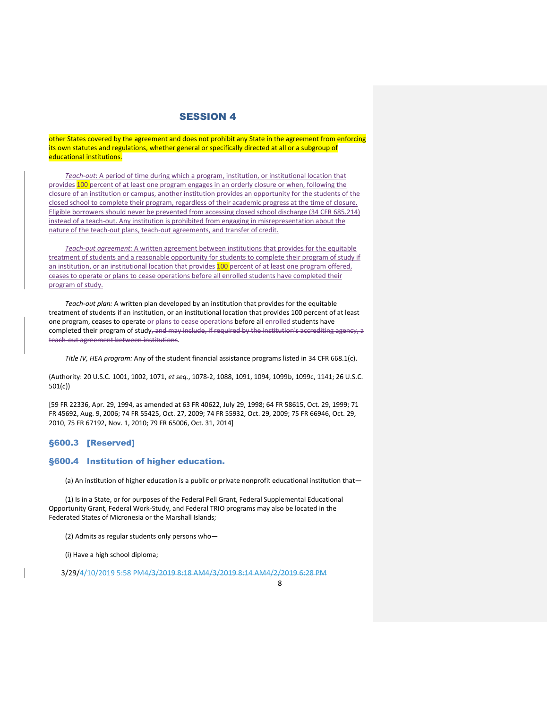other States covered by the agreement and does not prohibit any State in the agreement from enforcing its own statutes and regulations, whether general or specifically directed at all or a subgroup of educational institutions.

*Teach-out*: A period of time during which a program, institution, or institutional location that provides 100 percent of at least one program engages in an orderly closure or when, following the closure of an institution or campus, another institution provides an opportunity for the students of the closed school to complete their program, regardless of their academic progress at the time of closure. Eligible borrowers should never be prevented from accessing closed school discharge (34 CFR 685.214) instead of a teach-out. Any institution is prohibited from engaging in misrepresentation about the nature of the teach-out plans, teach-out agreements, and transfer of credit.

*Teach-out agreement:* A written agreement between institutions that provides for the equitable treatment of students and a reasonable opportunity for students to complete their program of study if an institution, or an institutional location that provides 100 percent of at least one program offered, ceases to operate or plans to cease operations before all enrolled students have completed their program of study.

*Teach-out plan:* A written plan developed by an institution that provides for the equitable treatment of students if an institution, or an institutional location that provides 100 percent of at least one program, ceases to operate or plans to cease operations before all enrolled students have completed their program of study, and may include, if required by the institution's accrediting agency, a teach-out agreement between institutions.

*Title IV, HEA program:* Any of the student financial assistance programs listed in 34 CFR 668.1(c).

(Authority: 20 U.S.C. 1001, 1002, 1071, *et seq.*, 1078-2, 1088, 1091, 1094, 1099b, 1099c, 1141; 26 U.S.C. 501(c))

[59 FR 22336, Apr. 29, 1994, as amended at 63 FR 40622, July 29, 1998; 64 FR 58615, Oct. 29, 1999; 71 FR 45692, Aug. 9, 2006; 74 FR 55425, Oct. 27, 2009; 74 FR 55932, Oct. 29, 2009; 75 FR 66946, Oct. 29, 2010, 75 FR 67192, Nov. 1, 2010; 79 FR 65006, Oct. 31, 2014]

### §600.3 [Reserved]

## §600.4 Institution of higher education.

(a) An institution of higher education is a public or private nonprofit educational institution that—

(1) Is in a State, or for purposes of the Federal Pell Grant, Federal Supplemental Educational Opportunity Grant, Federal Work-Study, and Federal TRIO programs may also be located in the Federated States of Micronesia or the Marshall Islands;

(2) Admits as regular students only persons who—

(i) Have a high school diploma;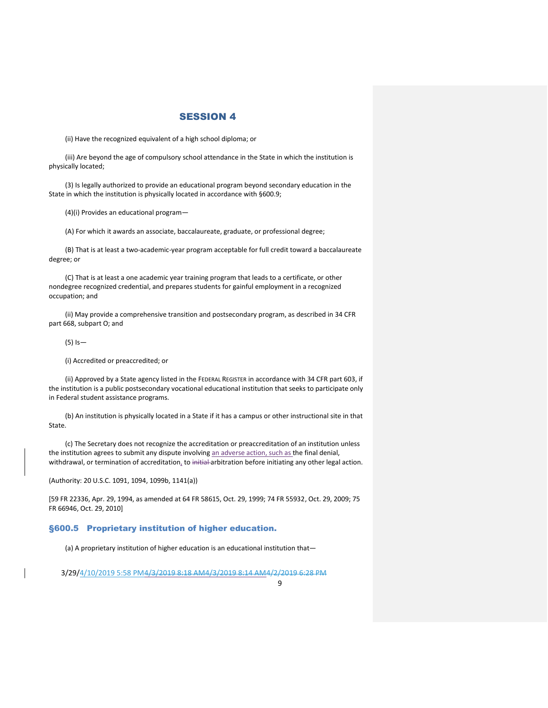(ii) Have the recognized equivalent of a high school diploma; or

(iii) Are beyond the age of compulsory school attendance in the State in which the institution is physically located;

(3) Is legally authorized to provide an educational program beyond secondary education in the State in which the institution is physically located in accordance with §600.9;

(4)(i) Provides an educational program—

(A) For which it awards an associate, baccalaureate, graduate, or professional degree;

(B) That is at least a two-academic-year program acceptable for full credit toward a baccalaureate degree; or

(C) That is at least a one academic year training program that leads to a certificate, or other nondegree recognized credential, and prepares students for gainful employment in a recognized occupation; and

(ii) May provide a comprehensive transition and postsecondary program, as described in 34 CFR part 668, subpart O; and

(5) Is—

(i) Accredited or preaccredited; or

(ii) Approved by a State agency listed in the FEDERAL REGISTER in accordance with 34 CFR part 603, if the institution is a public postsecondary vocational educational institution that seeks to participate only in Federal student assistance programs.

(b) An institution is physically located in a State if it has a campus or other instructional site in that State.

(c) The Secretary does not recognize the accreditation or preaccreditation of an institution unless the institution agrees to submit any dispute involving an adverse action, such as the final denial, withdrawal, or termination of accreditation, to initial arbitration before initiating any other legal action.

(Authority: 20 U.S.C. 1091, 1094, 1099b, 1141(a))

[59 FR 22336, Apr. 29, 1994, as amended at 64 FR 58615, Oct. 29, 1999; 74 FR 55932, Oct. 29, 2009; 75 FR 66946, Oct. 29, 2010]

#### §600.5 Proprietary institution of higher education.

(a) A proprietary institution of higher education is an educational institution that—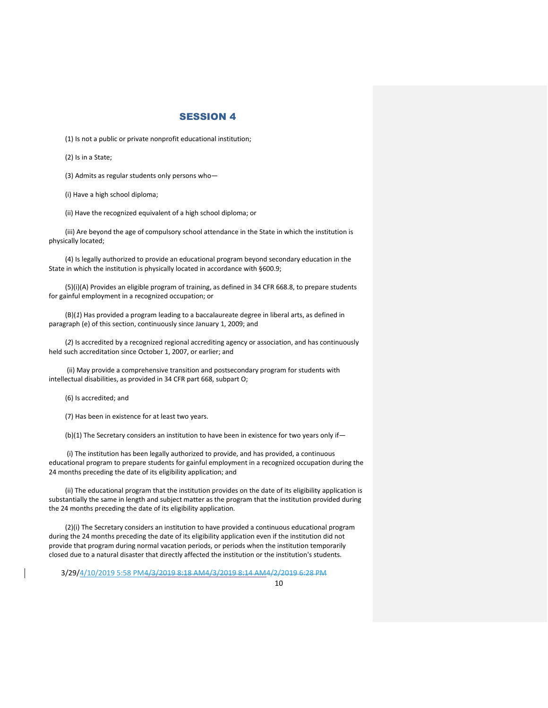(1) Is not a public or private nonprofit educational institution;

(2) Is in a State;

(3) Admits as regular students only persons who—

(i) Have a high school diploma;

(ii) Have the recognized equivalent of a high school diploma; or

(iii) Are beyond the age of compulsory school attendance in the State in which the institution is physically located;

(4) Is legally authorized to provide an educational program beyond secondary education in the State in which the institution is physically located in accordance with §600.9;

(5)(i)(A) Provides an eligible program of training, as defined in 34 CFR 668.8, to prepare students for gainful employment in a recognized occupation; or

(B)(*1*) Has provided a program leading to a baccalaureate degree in liberal arts, as defined in paragraph (e) of this section, continuously since January 1, 2009; and

(*2*) Is accredited by a recognized regional accrediting agency or association, and has continuously held such accreditation since October 1, 2007, or earlier; and

(ii) May provide a comprehensive transition and postsecondary program for students with intellectual disabilities, as provided in 34 CFR part 668, subpart O;

(6) Is accredited; and

(7) Has been in existence for at least two years.

(b)(1) The Secretary considers an institution to have been in existence for two years only if—

(i) The institution has been legally authorized to provide, and has provided, a continuous educational program to prepare students for gainful employment in a recognized occupation during the 24 months preceding the date of its eligibility application; and

(ii) The educational program that the institution provides on the date of its eligibility application is substantially the same in length and subject matter as the program that the institution provided during the 24 months preceding the date of its eligibility application.

(2)(i) The Secretary considers an institution to have provided a continuous educational program during the 24 months preceding the date of its eligibility application even if the institution did not provide that program during normal vacation periods, or periods when the institution temporarily closed due to a natural disaster that directly affected the institution or the institution's students.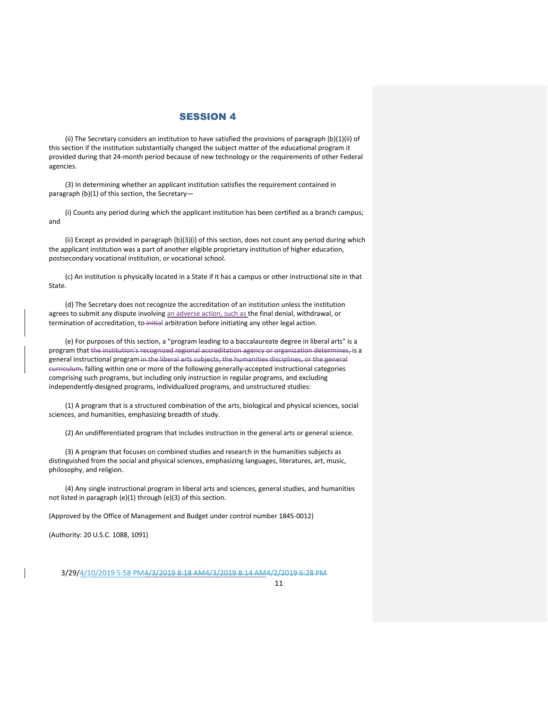(ii) The Secretary considers an institution to have satisfied the provisions of paragraph (b)(1)(ii) of this section if the institution substantially changed the subject matter of the educational program it provided during that 24-month period because of new technology or the requirements of other Federal agencies.

(3) In determining whether an applicant institution satisfies the requirement contained in paragraph (b)(1) of this section, the Secretary—

(i) Counts any period during which the applicant institution has been certified as a branch campus; and

(ii) Except as provided in paragraph (b)(3)(i) of this section, does not count any period during which the applicant institution was a part of another eligible proprietary institution of higher education, postsecondary vocational institution, or vocational school.

(c) An institution is physically located in a State if it has a campus or other instructional site in that State.

(d) The Secretary does not recognize the accreditation of an institution unless the institution agrees to submit any dispute involving an adverse action, such as the final denial, withdrawal, or termination of accreditation, to initial arbitration before initiating any other legal action.

(e) For purposes of this section, a "program leading to a baccalaureate degree in liberal arts" is a program that the institution's recognized regional accreditation agency or organization determines, is a general instructional program in the liberal arts subjects, the humanities disciplines, or the general curriculum, falling within one or more of the following generally-accepted instructional categories comprising such programs, but including only instruction in regular programs, and excluding independently-designed programs, individualized programs, and unstructured studies:

(1) A program that is a structured combination of the arts, biological and physical sciences, social sciences, and humanities, emphasizing breadth of study.

(2) An undifferentiated program that includes instruction in the general arts or general science.

(3) A program that focuses on combined studies and research in the humanities subjects as distinguished from the social and physical sciences, emphasizing languages, literatures, art, music, philosophy, and religion.

(4) Any single instructional program in liberal arts and sciences, general studies, and humanities not listed in paragraph (e)(1) through (e)(3) of this section.

(Approved by the Office of Management and Budget under control number 1845-0012)

(Authority: 20 U.S.C. 1088, 1091)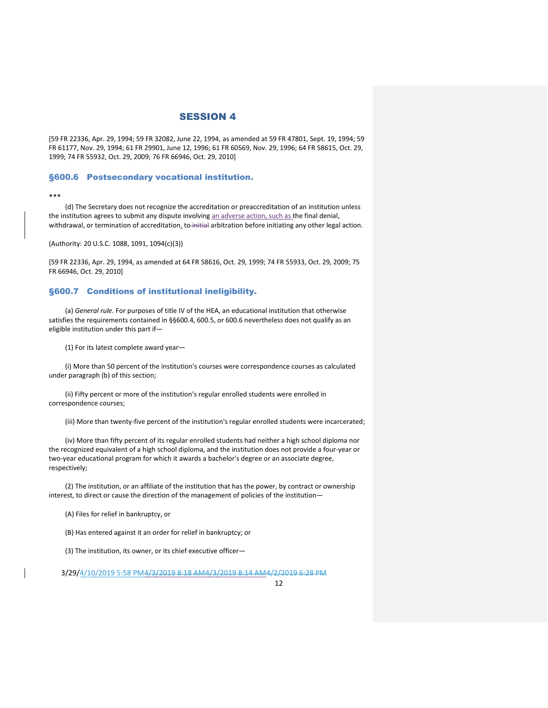[59 FR 22336, Apr. 29, 1994; 59 FR 32082, June 22, 1994, as amended at 59 FR 47801, Sept. 19, 1994; 59 FR 61177, Nov. 29, 1994; 61 FR 29901, June 12, 1996; 61 FR 60569, Nov. 29, 1996; 64 FR 58615, Oct. 29, 1999; 74 FR 55932, Oct. 29, 2009; 76 FR 66946, Oct. 29, 2010]

#### §600.6 Postsecondary vocational institution.

#### \*\*\*

(d) The Secretary does not recognize the accreditation or preaccreditation of an institution unless the institution agrees to submit any dispute involving an adverse action, such as the final denial, withdrawal, or termination of accreditation, to initial arbitration before initiating any other legal action.

(Authority: 20 U.S.C. 1088, 1091, 1094(c)(3))

[59 FR 22336, Apr. 29, 1994, as amended at 64 FR 58616, Oct. 29, 1999; 74 FR 55933, Oct. 29, 2009; 75 FR 66946, Oct. 29, 2010]

#### §600.7 Conditions of institutional ineligibility.

(a) *General rule.* For purposes of title IV of the HEA, an educational institution that otherwise satisfies the requirements contained in §§600.4, 600.5, or 600.6 nevertheless does not qualify as an eligible institution under this part if—

(1) For its latest complete award year—

(i) More than 50 percent of the institution's courses were correspondence courses as calculated under paragraph (b) of this section;

(ii) Fifty percent or more of the institution's regular enrolled students were enrolled in correspondence courses;

(iii) More than twenty-five percent of the institution's regular enrolled students were incarcerated;

(iv) More than fifty percent of its regular enrolled students had neither a high school diploma nor the recognized equivalent of a high school diploma, and the institution does not provide a four-year or two-year educational program for which it awards a bachelor's degree or an associate degree, respectively;

(2) The institution, or an affiliate of the institution that has the power, by contract or ownership interest, to direct or cause the direction of the management of policies of the institution—

(A) Files for relief in bankruptcy, or

(B) Has entered against it an order for relief in bankruptcy; or

(3) The institution, its owner, or its chief executive officer—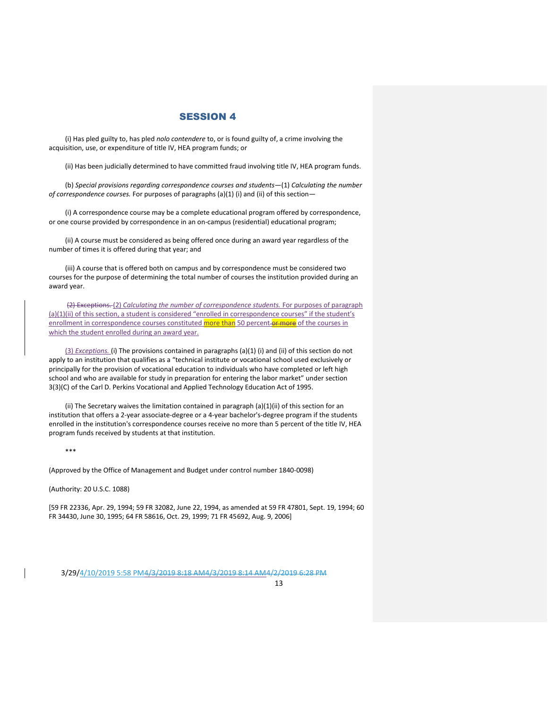(i) Has pled guilty to, has pled *nolo contendere* to, or is found guilty of, a crime involving the acquisition, use, or expenditure of title IV, HEA program funds; or

(ii) Has been judicially determined to have committed fraud involving title IV, HEA program funds.

(b) *Special provisions regarding correspondence courses and students*—(1) *Calculating the number of correspondence courses.* For purposes of paragraphs (a)(1) (i) and (ii) of this section—

(i) A correspondence course may be a complete educational program offered by correspondence, or one course provided by correspondence in an on-campus (residential) educational program;

(ii) A course must be considered as being offered once during an award year regardless of the number of times it is offered during that year; and

(iii) A course that is offered both on campus and by correspondence must be considered two courses for the purpose of determining the total number of courses the institution provided during an award year.

(2) Exceptions. (2) *Calculating the number of correspondence students.* For purposes of paragraph (a)(1)(ii) of this section, a student is considered "enrolled in correspondence courses" if the student's enrollment in correspondence courses constituted more than 50 percent-or more of the courses in which the student enrolled during an award year.

(3) *Exceptions.* (i) The provisions contained in paragraphs (a)(1) (i) and (ii) of this section do not apply to an institution that qualifies as a "technical institute or vocational school used exclusively or principally for the provision of vocational education to individuals who have completed or left high school and who are available for study in preparation for entering the labor market" under section 3(3)(C) of the Carl D. Perkins Vocational and Applied Technology Education Act of 1995.

(ii) The Secretary waives the limitation contained in paragraph (a)(1)(ii) of this section for an institution that offers a 2-year associate-degree or a 4-year bachelor's-degree program if the students enrolled in the institution's correspondence courses receive no more than 5 percent of the title IV, HEA program funds received by students at that institution.

\*\*\*

(Approved by the Office of Management and Budget under control number 1840-0098)

(Authority: 20 U.S.C. 1088)

[59 FR 22336, Apr. 29, 1994; 59 FR 32082, June 22, 1994, as amended at 59 FR 47801, Sept. 19, 1994; 60 FR 34430, June 30, 1995; 64 FR 58616, Oct. 29, 1999; 71 FR 45692, Aug. 9, 2006]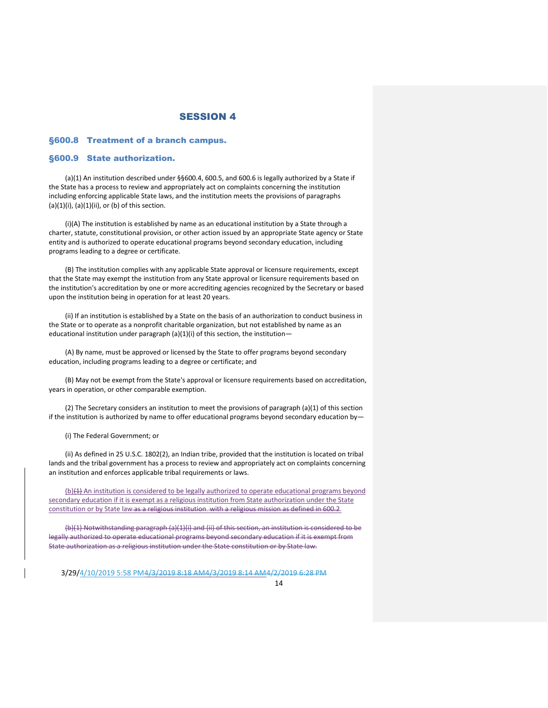#### §600.8 Treatment of a branch campus.

#### §600.9 State authorization.

(a)(1) An institution described under §§600.4, 600.5, and 600.6 is legally authorized by a State if the State has a process to review and appropriately act on complaints concerning the institution including enforcing applicable State laws, and the institution meets the provisions of paragraphs  $(a)(1)(i)$ ,  $(a)(1)(ii)$ , or  $(b)$  of this section.

(i)(A) The institution is established by name as an educational institution by a State through a charter, statute, constitutional provision, or other action issued by an appropriate State agency or State entity and is authorized to operate educational programs beyond secondary education, including programs leading to a degree or certificate.

(B) The institution complies with any applicable State approval or licensure requirements, except that the State may exempt the institution from any State approval or licensure requirements based on the institution's accreditation by one or more accrediting agencies recognized by the Secretary or based upon the institution being in operation for at least 20 years.

(ii) If an institution is established by a State on the basis of an authorization to conduct business in the State or to operate as a nonprofit charitable organization, but not established by name as an educational institution under paragraph (a)(1)(i) of this section, the institution—

(A) By name, must be approved or licensed by the State to offer programs beyond secondary education, including programs leading to a degree or certificate; and

(B) May not be exempt from the State's approval or licensure requirements based on accreditation, years in operation, or other comparable exemption.

(2) The Secretary considers an institution to meet the provisions of paragraph (a)(1) of this section if the institution is authorized by name to offer educational programs beyond secondary education by—

(i) The Federal Government; or

(ii) As defined in 25 U.S.C. 1802(2), an Indian tribe, provided that the institution is located on tribal lands and the tribal government has a process to review and appropriately act on complaints concerning an institution and enforces applicable tribal requirements or laws.

 $(b)(4)$  An institution is considered to be legally authorized to operate educational programs beyond secondary education if it is exempt as a religious institution from State authorization under the State constitution or by State law as a religious institution. with a religious mission as defined in 600.2.

(b)(1) Notwithstanding paragraph (a)(1)(i) and (ii) of this section, an institution is considered to be legally authorized to operate educational programs beyond secondary education if it is exempt from State authorization as a religious institution under the State constitution or by State law.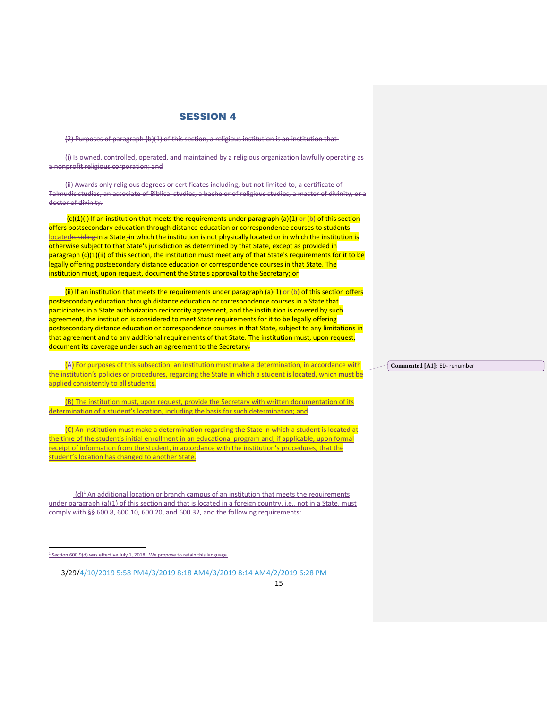(2) Purposes of paragraph (b)(1) of this section, a religious institution is an institution that-

(i) Is owned, controlled, operated, and maintained by a religious organization lawfully operating as a nonprofit religious corporation; and

(ii) Awards only religious degrees or certificates including, but not limited to, a certificate of Talmudic studies, an associate of Biblical studies, a bachelor of religious studies, a master of divinity, or a doctor of divinity.

 $(c)(1)(i)$  if an institution that meets the requirements under paragraph (a)(1) or (b) of this section offers postsecondary education through distance education or correspondence courses to students locatedresiding in a State in which the institution is not physically located or in which the institution is otherwise subject to that State's jurisdiction as determined by that State, except as provided in paragraph (c)(1)(ii) of this section, the institution must meet any of that State's requirements for it to be legally offering postsecondary distance education or correspondence courses in that State. The institution must, upon request, document the State's approval to the Secretary; or

(ii) If an institution that meets the requirements under paragraph (a)(1) or (b) of this section offers postsecondary education through distance education or correspondence courses in a State that participates in a State authorization reciprocity agreement, and the institution is covered by such agreement, the institution is considered to meet State requirements for it to be legally offering postsecondary distance education or correspondence courses in that State, subject to any limitations in that agreement and to any additional requirements of that State. The institution must, upon request, document its coverage under such an agreement to the Secretary.

(A) For purposes of this subsection, an institution must make a determination, in accordance with the institution's policies or procedures, regarding the State in which a student is located, which must be applied consistently to all students.

(B) The institution must, upon request, provide the Secretary with written documentation of its determination of a student's location, including the basis for such determination; and

(C) An institution must make a determination regarding the State in which a student is located at the time of the student's initial enrollment in an educational program and, if applicable, upon formal receipt of information from the student, in accordance with the institution's procedures, that the student's location has changed to another State.

 $(d)^1$  An additional location or branch campus of an institution that meets the requirements under paragraph (a)(1) of this section and that is located in a foreign country, i.e., not in a State, must comply with §§ 600.8, 600.10, 600.20, and 600.32, and the following requirements:

3/29/4/10/2019 5:58 PM4/3/2019 8:18 AM4/3/2019 8:14 AM4/2/2019 6:28 PM

15

**Commented [A1]:** ED- renumber

<sup>&</sup>lt;sup>1</sup> Section 600.9(d) was effective July 1, 2018. We propose to retain this language.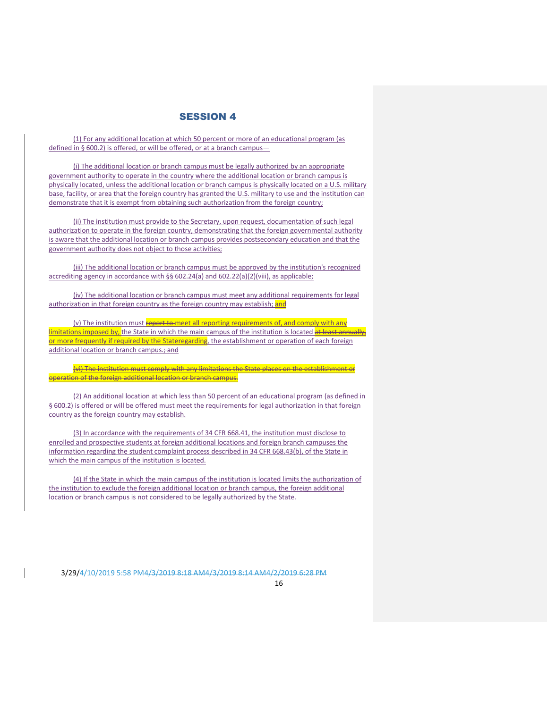(1) For any additional location at which 50 percent or more of an educational program (as defined in § 600.2) is offered, or will be offered, or at a branch campus—

(i) The additional location or branch campus must be legally authorized by an appropriate government authority to operate in the country where the additional location or branch campus is physically located, unless the additional location or branch campus is physically located on a U.S. military base, facility, or area that the foreign country has granted the U.S. military to use and the institution can demonstrate that it is exempt from obtaining such authorization from the foreign country;

(ii) The institution must provide to the Secretary, upon request, documentation of such legal authorization to operate in the foreign country, demonstrating that the foreign governmental authority is aware that the additional location or branch campus provides postsecondary education and that the government authority does not object to those activities;

(iii) The additional location or branch campus must be approved by the institution's recognized accrediting agency in accordance with §§ 602.24(a) and 602.22(a)(2)(viii), as applicable;

(iv) The additional location or branch campus must meet any additional requirements for legal authorization in that foreign country as the foreign country may establish; and

(v) The institution must report to meet all reporting requirements of, and comply with any limitations imposed by, the State in which the main campus of the institution is located at least annually, or more frequently if required by the Stateregarding, the establishment or operation of each foreign additional location or branch campus.; and

(vi) The institution must comply with any limitations the State places on the establishment or operation of the foreign additional location or branch campus.

(2) An additional location at which less than 50 percent of an educational program (as defined in § 600.2) is offered or will be offered must meet the requirements for legal authorization in that foreign country as the foreign country may establish.

(3) In accordance with the requirements of 34 CFR 668.41, the institution must disclose to enrolled and prospective students at foreign additional locations and foreign branch campuses the information regarding the student complaint process described in 34 CFR 668.43(b), of the State in which the main campus of the institution is located.

(4) If the State in which the main campus of the institution is located limits the authorization of the institution to exclude the foreign additional location or branch campus, the foreign additional location or branch campus is not considered to be legally authorized by the Stat[e.](https://www.ecfr.gov/cgi-bin/text-idx?SID=e06bac58004843af348abccdf247c6aa&mc=true&node=pt34.3.600&rgn=div5#_top)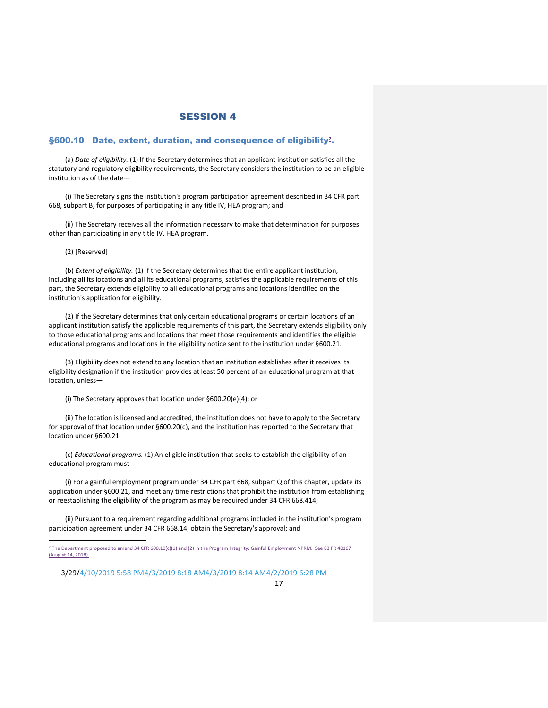#### §600.10 Date, extent, duration, and consequence of eligibility**<sup>2</sup>** .

(a) *Date of eligibility.* (1) If the Secretary determines that an applicant institution satisfies all the statutory and regulatory eligibility requirements, the Secretary considers the institution to be an eligible institution as of the date—

(i) The Secretary signs the institution's program participation agreement described in 34 CFR part 668, subpart B, for purposes of participating in any title IV, HEA program; and

(ii) The Secretary receives all the information necessary to make that determination for purposes other than participating in any title IV, HEA program.

(2) [Reserved]

(b) *Extent of eligibility.* (1) If the Secretary determines that the entire applicant institution, including all its locations and all its educational programs, satisfies the applicable requirements of this part, the Secretary extends eligibility to all educational programs and locations identified on the institution's application for eligibility.

(2) If the Secretary determines that only certain educational programs or certain locations of an applicant institution satisfy the applicable requirements of this part, the Secretary extends eligibility only to those educational programs and locations that meet those requirements and identifies the eligible educational programs and locations in the eligibility notice sent to the institution under §600.21.

(3) Eligibility does not extend to any location that an institution establishes after it receives its eligibility designation if the institution provides at least 50 percent of an educational program at that location, unless—

(i) The Secretary approves that location under §600.20(e)(4); or

(ii) The location is licensed and accredited, the institution does not have to apply to the Secretary for approval of that location under §600.20(c), and the institution has reported to the Secretary that location under §600.21.

(c) *Educational programs.* (1) An eligible institution that seeks to establish the eligibility of an educational program must—

(i) For a gainful employment program under 34 CFR part 668, subpart Q of this chapter, update its application under §600.21, and meet any time restrictions that prohibit the institution from establishing or reestablishing the eligibility of the program as may be required under 34 CFR 668.414;

(ii) Pursuant to a requirement regarding additional programs included in the institution's program participation agreement under 34 CFR 668.14, obtain the Secretary's approval; and

 <sup>2</sup> The Department proposed to amend 34 CFR 600.10(c)(1) and (2) in the Program Integrity: Gainful Employment NPRM. See 83 FR 40167 (August 14, 2018).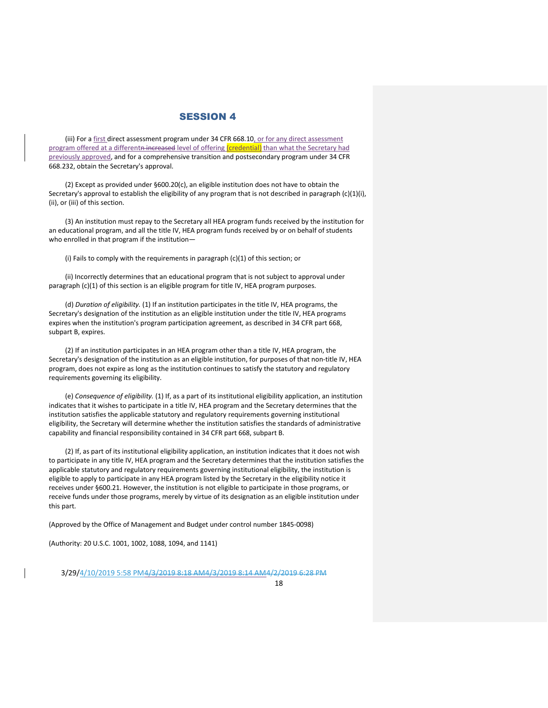(iii) For a first direct assessment program under 34 CFR 668.10, or for any direct assessment program offered at a differentn increased level of offering (credential) than what the Secretary had previously approved, and for a comprehensive transition and postsecondary program under 34 CFR 668.232, obtain the Secretary's approval.

(2) Except as provided under §600.20(c), an eligible institution does not have to obtain the Secretary's approval to establish the eligibility of any program that is not described in paragraph (c)(1)(i), (ii), or (iii) of this section.

(3) An institution must repay to the Secretary all HEA program funds received by the institution for an educational program, and all the title IV, HEA program funds received by or on behalf of students who enrolled in that program if the institution—

(i) Fails to comply with the requirements in paragraph (c)(1) of this section; or

(ii) Incorrectly determines that an educational program that is not subject to approval under paragraph (c)(1) of this section is an eligible program for title IV, HEA program purposes.

(d) *Duration of eligibility.* (1) If an institution participates in the title IV, HEA programs, the Secretary's designation of the institution as an eligible institution under the title IV, HEA programs expires when the institution's program participation agreement, as described in 34 CFR part 668, subpart B, expires.

(2) If an institution participates in an HEA program other than a title IV, HEA program, the Secretary's designation of the institution as an eligible institution, for purposes of that non-title IV, HEA program, does not expire as long as the institution continues to satisfy the statutory and regulatory requirements governing its eligibility.

(e) *Consequence of eligibility.* (1) If, as a part of its institutional eligibility application, an institution indicates that it wishes to participate in a title IV, HEA program and the Secretary determines that the institution satisfies the applicable statutory and regulatory requirements governing institutional eligibility, the Secretary will determine whether the institution satisfies the standards of administrative capability and financial responsibility contained in 34 CFR part 668, subpart B.

(2) If, as part of its institutional eligibility application, an institution indicates that it does not wish to participate in any title IV, HEA program and the Secretary determines that the institution satisfies the applicable statutory and regulatory requirements governing institutional eligibility, the institution is eligible to apply to participate in any HEA program listed by the Secretary in the eligibility notice it receives under §600.21. However, the institution is not eligible to participate in those programs, or receive funds under those programs, merely by virtue of its designation as an eligible institution under this part.

(Approved by the Office of Management and Budget under control number 1845-0098)

(Authority: 20 U.S.C. 1001, 1002, 1088, 1094, and 1141)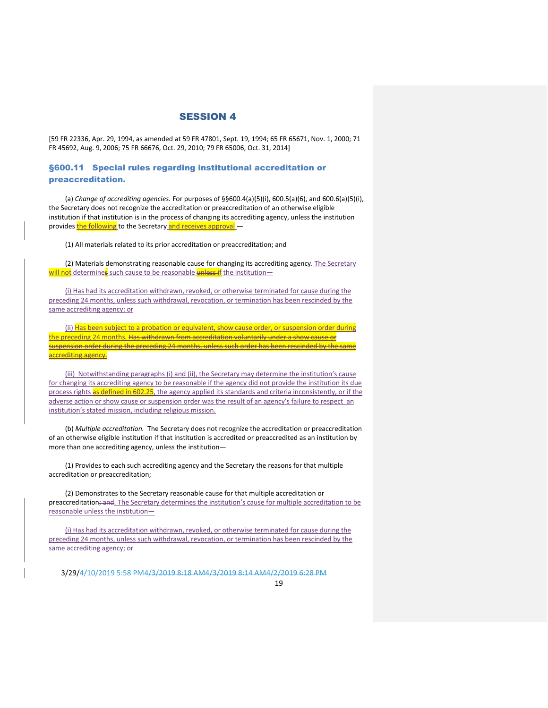[59 FR 22336, Apr. 29, 1994, as amended at 59 FR 47801, Sept. 19, 1994; 65 FR 65671, Nov. 1, 2000; 71 FR 45692, Aug. 9, 2006; 75 FR 66676, Oct. 29, 2010; 79 FR 65006, Oct. 31, 2014]

#### §600.11 Special rules regarding institutional accreditation or preaccreditation.

(a) *Change of accrediting agencies.* For purposes of §§600.4(a)(5)(i), 600.5(a)(6), and 600.6(a)(5)(i), the Secretary does not recognize the accreditation or preaccreditation of an otherwise eligible institution if that institution is in the process of changing its accrediting agency, unless the institution provides the following to the Secretary and receives approval -

(1) All materials related to its prior accreditation or preaccreditation; and

(2) Materials demonstrating reasonable cause for changing its accrediting agency. The Secretary will not determines such cause to be reasonable unless if the institution-

(i) Has had its accreditation withdrawn, revoked, or otherwise terminated for cause during the preceding 24 months, unless such withdrawal, revocation, or termination has been rescinded by the same accrediting agency; or

(ii) Has been subject to a probation or equivalent, show cause order, or suspension order during the preceding 24 months. Has withdrawn from accreditation voluntarily under a show cause or suspension order during the preceding 24 months, unless such order has been rescinded by the same accrediting agency.

(iii) Notwithstanding paragraphs (i) and (ii), the Secretary may determine the institution's cause for changing its accrediting agency to be reasonable if the agency did not provide the institution its due process rights as defined in 602.25, the agency applied its standards and criteria inconsistently, or if the adverse action or show cause or suspension order was the result of an agency's failure to respect an institution's stated mission, including religious mission.

(b) *Multiple accreditation.* The Secretary does not recognize the accreditation or preaccreditation of an otherwise eligible institution if that institution is accredited or preaccredited as an institution by more than one accrediting agency, unless the institution—

(1) Provides to each such accrediting agency and the Secretary the reasons for that multiple accreditation or preaccreditation;

(2) Demonstrates to the Secretary reasonable cause for that multiple accreditation or preaccreditation; and. The Secretary determines the institution's cause for multiple accreditation to be reasonable unless the institution—

(i) Has had its accreditation withdrawn, revoked, or otherwise terminated for cause during the preceding 24 months, unless such withdrawal, revocation, or termination has been rescinded by the same accrediting agency; or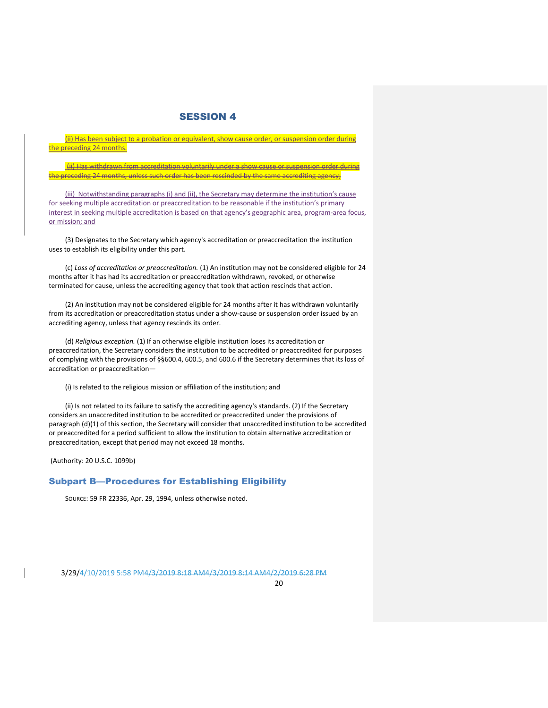(ii) Has been subject to a probation or equivalent, show cause order, or suspension order during the preceding 24 months.

(ii) Has withdrawn from accreditation voluntarily under a show cause or suspension order during the preceding 24 months, unless such order has been rescinded by the same accrediting agency;

(iii) Notwithstanding paragraphs (i) and (ii), the Secretary may determine the institution's cause for seeking multiple accreditation or preaccreditation to be reasonable if the institution's primary interest in seeking multiple accreditation is based on that agency's geographic area, program-area focus, or mission; and

(3) Designates to the Secretary which agency's accreditation or preaccreditation the institution uses to establish its eligibility under this part.

(c) *Loss of accreditation or preaccreditation.* (1) An institution may not be considered eligible for 24 months after it has had its accreditation or preaccreditation withdrawn, revoked, or otherwise terminated for cause, unless the accrediting agency that took that action rescinds that action.

(2) An institution may not be considered eligible for 24 months after it has withdrawn voluntarily from its accreditation or preaccreditation status under a show-cause or suspension order issued by an accrediting agency, unless that agency rescinds its order.

(d) *Religious exception.* (1) If an otherwise eligible institution loses its accreditation or preaccreditation, the Secretary considers the institution to be accredited or preaccredited for purposes of complying with the provisions of §§600.4, 600.5, and 600.6 if the Secretary determines that its loss of accreditation or preaccreditation—

(i) Is related to the religious mission or affiliation of the institution; and

(ii) Is not related to its failure to satisfy the accrediting agency's standards. (2) If the Secretary considers an unaccredited institution to be accredited or preaccredited under the provisions of paragraph (d)(1) of this section, the Secretary will consider that unaccredited institution to be accredited or preaccredited for a period sufficient to allow the institution to obtain alternative accreditation or preaccreditation, except that period may not exceed 18 months.

(Authority: 20 U.S.C. 1099b)

## Subpart B—Procedures for Establishing Eligibility

SOURCE: 59 FR 22336, Apr. 29, 1994, unless otherwise noted.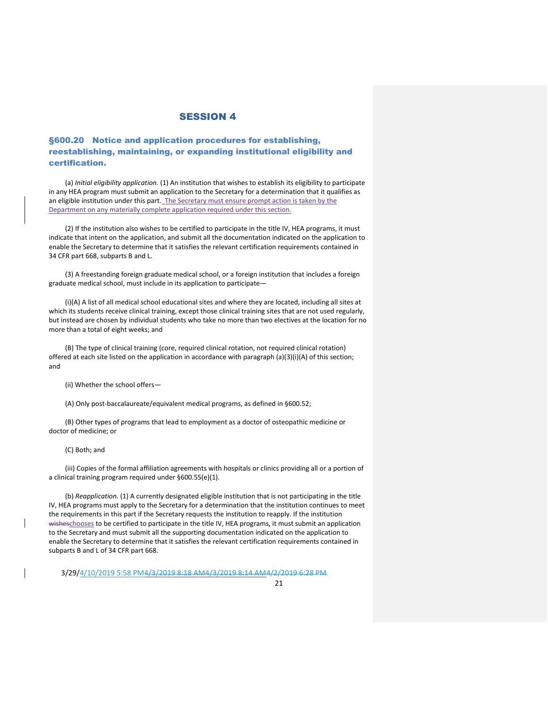## §600.20 Notice and application procedures for establishing, reestablishing, maintaining, or expanding institutional eligibility and certification.

(a) *Initial eligibility application.* (1) An institution that wishes to establish its eligibility to participate in any HEA program must submit an application to the Secretary for a determination that it qualifies as an eligible institution under this part. The Secretary must ensure prompt action is taken by the Department on any materially complete application required under this section.

(2) If the institution also wishes to be certified to participate in the title IV, HEA programs, it must indicate that intent on the application, and submit all the documentation indicated on the application to enable the Secretary to determine that it satisfies the relevant certification requirements contained in 34 CFR part 668, subparts B and L.

(3) A freestanding foreign graduate medical school, or a foreign institution that includes a foreign graduate medical school, must include in its application to participate—

(i)(A) A list of all medical school educational sites and where they are located, including all sites at which its students receive clinical training, except those clinical training sites that are not used regularly, but instead are chosen by individual students who take no more than two electives at the location for no more than a total of eight weeks; and

(B) The type of clinical training (core, required clinical rotation, not required clinical rotation) offered at each site listed on the application in accordance with paragraph (a)(3)(i)(A) of this section; and

(ii) Whether the school offers—

(A) Only post-baccalaureate/equivalent medical programs, as defined in §600.52;

(B) Other types of programs that lead to employment as a doctor of osteopathic medicine or doctor of medicine; or

(C) Both; and

(iii) Copies of the formal affiliation agreements with hospitals or clinics providing all or a portion of a clinical training program required under §600.55(e)(1).

(b) *Reapplication.* (1) A currently designated eligible institution that is not participating in the title IV, HEA programs must apply to the Secretary for a determination that the institution continues to meet the requirements in this part if the Secretary requests the institution to reapply. If the institution wisheschooses to be certified to participate in the title IV, HEA programs, it must submit an application to the Secretary and must submit all the supporting documentation indicated on the application to enable the Secretary to determine that it satisfies the relevant certification requirements contained in subparts B and L of 34 CFR part 668.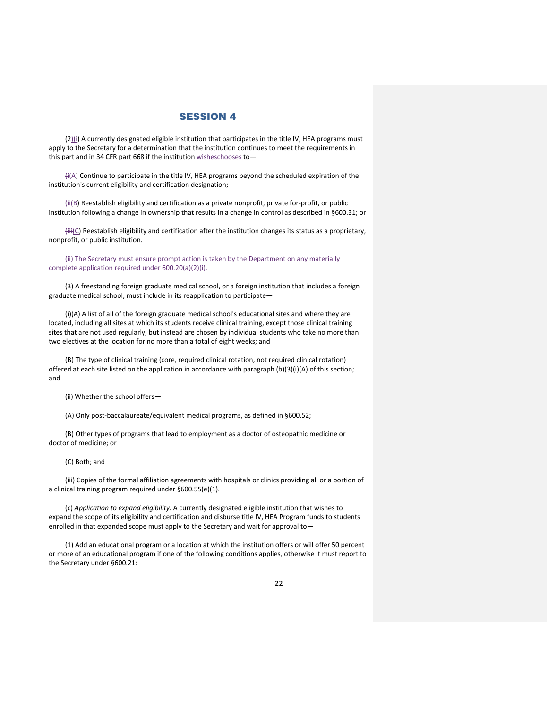$(2)$ (i) A currently designated eligible institution that participates in the title IV, HEA programs must apply to the Secretary for a determination that the institution continues to meet the requirements in this part and in 34 CFR part 668 if the institution wisheschooses to-

 $H(A)$  Continue to participate in the title IV, HEA programs beyond the scheduled expiration of the institution's current eligibility and certification designation;

(ii(B) Reestablish eligibility and certification as a private nonprofit, private for-profit, or public institution following a change in ownership that results in a change in control as described in §600.31; or

 $\frac{\text{iii}}{\text{C}}$  Reestablish eligibility and certification after the institution changes its status as a proprietary, nonprofit, or public institution.

(ii) The Secretary must ensure prompt action is taken by the Department on any materially complete application required under 600.20(a)(2)(i).

(3) A freestanding foreign graduate medical school, or a foreign institution that includes a foreign graduate medical school, must include in its reapplication to participate—

(i)(A) A list of all of the foreign graduate medical school's educational sites and where they are located, including all sites at which its students receive clinical training, except those clinical training sites that are not used regularly, but instead are chosen by individual students who take no more than two electives at the location for no more than a total of eight weeks; and

(B) The type of clinical training (core, required clinical rotation, not required clinical rotation) offered at each site listed on the application in accordance with paragraph (b)(3)(i)(A) of this section; and

(ii) Whether the school offers—

(A) Only post-baccalaureate/equivalent medical programs, as defined in §600.52;

(B) Other types of programs that lead to employment as a doctor of osteopathic medicine or doctor of medicine; or

(C) Both; and

(iii) Copies of the formal affiliation agreements with hospitals or clinics providing all or a portion of a clinical training program required under §600.55(e)(1).

(c) *Application to expand eligibility.* A currently designated eligible institution that wishes to expand the scope of its eligibility and certification and disburse title IV, HEA Program funds to students enrolled in that expanded scope must apply to the Secretary and wait for approval to-

(1) Add an educational program or a location at which the institution offers or will offer 50 percent or more of an educational program if one of the following conditions applies, otherwise it must report to the Secretary under §600.21: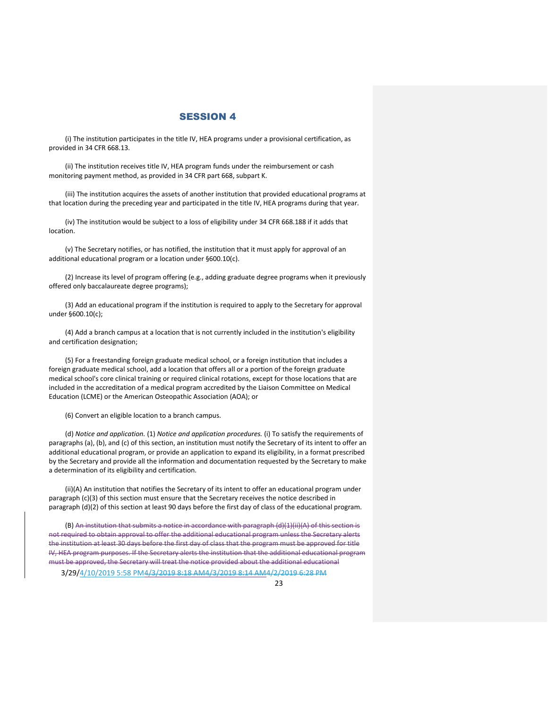(i) The institution participates in the title IV, HEA programs under a provisional certification, as provided in 34 CFR 668.13.

(ii) The institution receives title IV, HEA program funds under the reimbursement or cash monitoring payment method, as provided in 34 CFR part 668, subpart K.

(iii) The institution acquires the assets of another institution that provided educational programs at that location during the preceding year and participated in the title IV, HEA programs during that year.

(iv) The institution would be subject to a loss of eligibility under 34 CFR 668.188 if it adds that location.

(v) The Secretary notifies, or has notified, the institution that it must apply for approval of an additional educational program or a location under §600.10(c).

(2) Increase its level of program offering (e.g., adding graduate degree programs when it previously offered only baccalaureate degree programs);

(3) Add an educational program if the institution is required to apply to the Secretary for approval under §600.10(c);

(4) Add a branch campus at a location that is not currently included in the institution's eligibility and certification designation;

(5) For a freestanding foreign graduate medical school, or a foreign institution that includes a foreign graduate medical school, add a location that offers all or a portion of the foreign graduate medical school's core clinical training or required clinical rotations, except for those locations that are included in the accreditation of a medical program accredited by the Liaison Committee on Medical Education (LCME) or the American Osteopathic Association (AOA); or

(6) Convert an eligible location to a branch campus.

(d) *Notice and application.* (1) *Notice and application procedures.* (i) To satisfy the requirements of paragraphs (a), (b), and (c) of this section, an institution must notify the Secretary of its intent to offer an additional educational program, or provide an application to expand its eligibility, in a format prescribed by the Secretary and provide all the information and documentation requested by the Secretary to make a determination of its eligibility and certification.

(ii)(A) An institution that notifies the Secretary of its intent to offer an educational program under paragraph (c)(3) of this section must ensure that the Secretary receives the notice described in paragraph (d)(2) of this section at least 90 days before the first day of class of the educational program.

(B) An institution that submits a notice in accordance with paragraph (d)(1)(ii)(A) of this section is not required to obtain approval to offer the additional educational program unless the Secretary alerts the institution at least 30 days before the first day of class that the program must be approved for title IV, HEA program purposes. If the Secretary alerts the institution that the additional educational program must be approved, the Secretary will treat the notice provided about the additional educational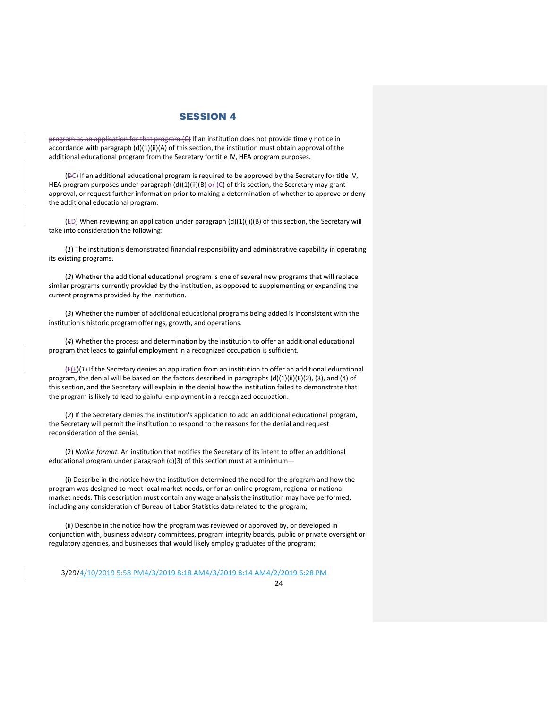program as an application for that program.(C) If an institution does not provide timely notice in accordance with paragraph (d)(1)(ii)(A) of this section, the institution must obtain approval of the additional educational program from the Secretary for title IV, HEA program purposes.

(DC) If an additional educational program is required to be approved by the Secretary for title IV, HEA program purposes under paragraph  $(d)(1)(ii)(B)$  of this section, the Secretary may grant approval, or request further information prior to making a determination of whether to approve or deny the additional educational program.

 $(E_D)$  When reviewing an application under paragraph (d)(1)(ii)(B) of this section, the Secretary will take into consideration the following:

(*1*) The institution's demonstrated financial responsibility and administrative capability in operating its existing programs.

(*2*) Whether the additional educational program is one of several new programs that will replace similar programs currently provided by the institution, as opposed to supplementing or expanding the current programs provided by the institution.

(*3*) Whether the number of additional educational programs being added is inconsistent with the institution's historic program offerings, growth, and operations.

(*4*) Whether the process and determination by the institution to offer an additional educational program that leads to gainful employment in a recognized occupation is sufficient.

(F(E)(*1*) If the Secretary denies an application from an institution to offer an additional educational program, the denial will be based on the factors described in paragraphs (d)(1)(ii)(E)(2), (3), and (4) of this section, and the Secretary will explain in the denial how the institution failed to demonstrate that the program is likely to lead to gainful employment in a recognized occupation.

(*2*) If the Secretary denies the institution's application to add an additional educational program, the Secretary will permit the institution to respond to the reasons for the denial and request reconsideration of the denial.

(2) *Notice format.* An institution that notifies the Secretary of its intent to offer an additional educational program under paragraph (c)(3) of this section must at a minimum-

(i) Describe in the notice how the institution determined the need for the program and how the program was designed to meet local market needs, or for an online program, regional or national market needs. This description must contain any wage analysis the institution may have performed, including any consideration of Bureau of Labor Statistics data related to the program;

(ii) Describe in the notice how the program was reviewed or approved by, or developed in conjunction with, business advisory committees, program integrity boards, public or private oversight or regulatory agencies, and businesses that would likely employ graduates of the program;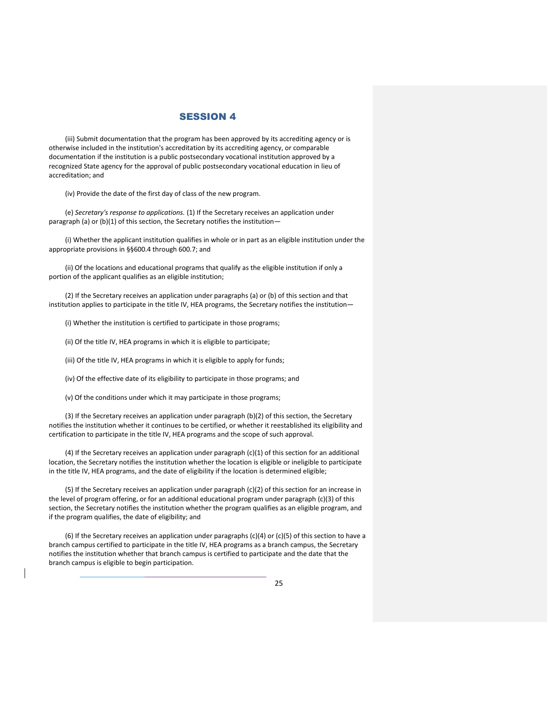(iii) Submit documentation that the program has been approved by its accrediting agency or is otherwise included in the institution's accreditation by its accrediting agency, or comparable documentation if the institution is a public postsecondary vocational institution approved by a recognized State agency for the approval of public postsecondary vocational education in lieu of accreditation; and

(iv) Provide the date of the first day of class of the new program.

(e) *Secretary's response to applications.* (1) If the Secretary receives an application under paragraph (a) or (b)(1) of this section, the Secretary notifies the institution—

(i) Whether the applicant institution qualifies in whole or in part as an eligible institution under the appropriate provisions in §§600.4 through 600.7; and

(ii) Of the locations and educational programs that qualify as the eligible institution if only a portion of the applicant qualifies as an eligible institution;

(2) If the Secretary receives an application under paragraphs (a) or (b) of this section and that institution applies to participate in the title IV, HEA programs, the Secretary notifies the institution—

(i) Whether the institution is certified to participate in those programs;

(ii) Of the title IV, HEA programs in which it is eligible to participate;

(iii) Of the title IV, HEA programs in which it is eligible to apply for funds;

(iv) Of the effective date of its eligibility to participate in those programs; and

(v) Of the conditions under which it may participate in those programs;

(3) If the Secretary receives an application under paragraph (b)(2) of this section, the Secretary notifies the institution whether it continues to be certified, or whether it reestablished its eligibility and certification to participate in the title IV, HEA programs and the scope of such approval.

(4) If the Secretary receives an application under paragraph (c)(1) of this section for an additional location, the Secretary notifies the institution whether the location is eligible or ineligible to participate in the title IV, HEA programs, and the date of eligibility if the location is determined eligible;

(5) If the Secretary receives an application under paragraph (c)(2) of this section for an increase in the level of program offering, or for an additional educational program under paragraph (c)(3) of this section, the Secretary notifies the institution whether the program qualifies as an eligible program, and if the program qualifies, the date of eligibility; and

(6) If the Secretary receives an application under paragraphs (c)(4) or (c)(5) of this section to have a branch campus certified to participate in the title IV, HEA programs as a branch campus, the Secretary notifies the institution whether that branch campus is certified to participate and the date that the branch campus is eligible to begin participation.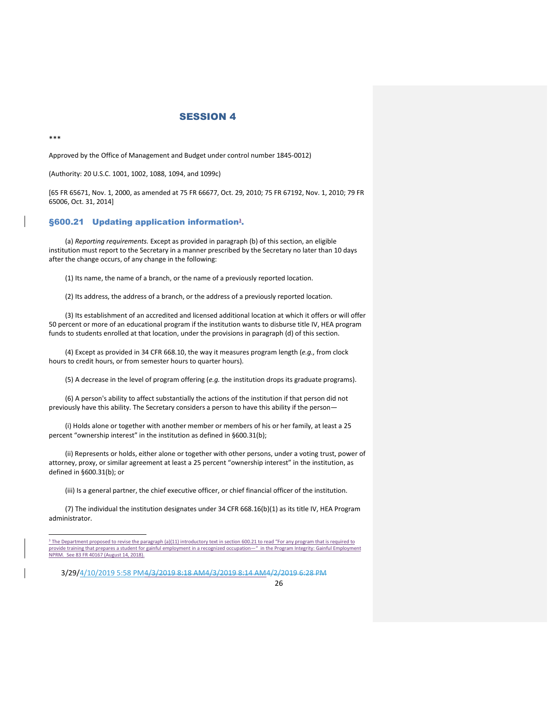\*\*\*

j

Approved by the Office of Management and Budget under control number 1845-0012)

(Authority: 20 U.S.C. 1001, 1002, 1088, 1094, and 1099c)

[65 FR 65671, Nov. 1, 2000, as amended at 75 FR 66677, Oct. 29, 2010; 75 FR 67192, Nov. 1, 2010; 79 FR 65006, Oct. 31, 2014]

#### §600.21 Updating application information**<sup>3</sup>** .

(a) *Reporting requirements.* Except as provided in paragraph (b) of this section, an eligible institution must report to the Secretary in a manner prescribed by the Secretary no later than 10 days after the change occurs, of any change in the following:

(1) Its name, the name of a branch, or the name of a previously reported location.

(2) Its address, the address of a branch, or the address of a previously reported location.

(3) Its establishment of an accredited and licensed additional location at which it offers or will offer 50 percent or more of an educational program if the institution wants to disburse title IV, HEA program funds to students enrolled at that location, under the provisions in paragraph (d) of this section.

(4) Except as provided in 34 CFR 668.10, the way it measures program length (*e.g.,* from clock hours to credit hours, or from semester hours to quarter hours).

(5) A decrease in the level of program offering (*e.g.* the institution drops its graduate programs).

(6) A person's ability to affect substantially the actions of the institution if that person did not previously have this ability. The Secretary considers a person to have this ability if the person—

(i) Holds alone or together with another member or members of his or her family, at least a 25 percent "ownership interest" in the institution as defined in §600.31(b);

(ii) Represents or holds, either alone or together with other persons, under a voting trust, power of attorney, proxy, or similar agreement at least a 25 percent "ownership interest" in the institution, as defined in §600.31(b); or

(iii) Is a general partner, the chief executive officer, or chief financial officer of the institution.

(7) The individual the institution designates under 34 CFR 668.16(b)(1) as its title IV, HEA Program administrator.

<sup>&</sup>lt;sup>3</sup> The Department proposed to revise the paragraph (a)(11) introductory text in section 600.21 to read "For any program that is required to provide training that prepares a student for gainful employment in a recognized occupation—" in the Program Integrity: Gainful Employment NPRM. See 83 FR 40167 (August 14, 2018).

<sup>3/29/4/10/2019 5:58</sup> PM4/3/2019 8:18 AM4/3/2019 8:14 AM4/2/2019 6:28 PM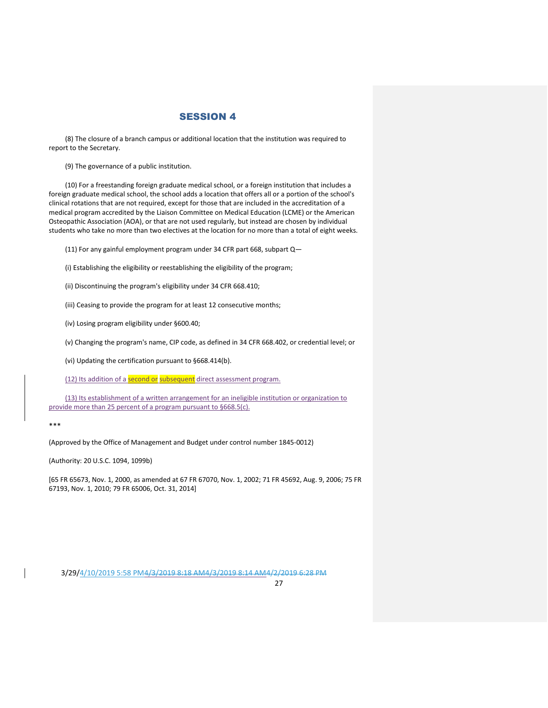(8) The closure of a branch campus or additional location that the institution was required to report to the Secretary.

(9) The governance of a public institution.

(10) For a freestanding foreign graduate medical school, or a foreign institution that includes a foreign graduate medical school, the school adds a location that offers all or a portion of the school's clinical rotations that are not required, except for those that are included in the accreditation of a medical program accredited by the Liaison Committee on Medical Education (LCME) or the American Osteopathic Association (AOA), or that are not used regularly, but instead are chosen by individual students who take no more than two electives at the location for no more than a total of eight weeks.

(11) For any gainful employment program under 34 CFR part 668, subpart Q—

(i) Establishing the eligibility or reestablishing the eligibility of the program;

(ii) Discontinuing the program's eligibility under 34 CFR 668.410;

(iii) Ceasing to provide the program for at least 12 consecutive months;

(iv) Losing program eligibility under §600.40;

(v) Changing the program's name, CIP code, as defined in 34 CFR 668.402, or credential level; or

(vi) Updating the certification pursuant to §668.414(b).

(12) Its addition of a second or subsequent direct assessment program.

(13) Its establishment of a written arrangement for an ineligible institution or organization to provide more than 25 percent of a program pursuant to §668.5(c).

\*\*\*

(Approved by the Office of Management and Budget under control number 1845-0012)

(Authority: 20 U.S.C. 1094, 1099b)

[65 FR 65673, Nov. 1, 2000, as amended at 67 FR 67070, Nov. 1, 2002; 71 FR 45692, Aug. 9, 2006; 75 FR 67193, Nov. 1, 2010; 79 FR 65006, Oct. 31, 2014]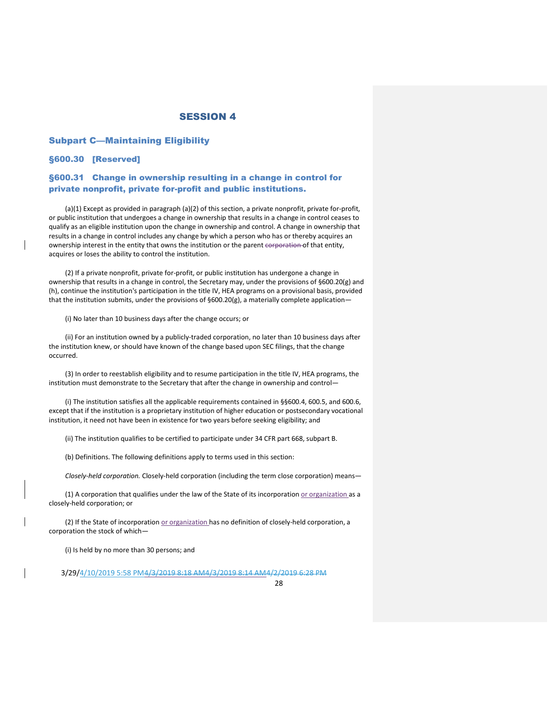#### Subpart C—Maintaining Eligibility

#### §600.30 [Reserved]

### §600.31 Change in ownership resulting in a change in control for private nonprofit, private for-profit and public institutions.

(a)(1) Except as provided in paragraph (a)(2) of this section, a private nonprofit, private for-profit, or public institution that undergoes a change in ownership that results in a change in control ceases to qualify as an eligible institution upon the change in ownership and control. A change in ownership that results in a change in control includes any change by which a person who has or thereby acquires an ownership interest in the entity that owns the institution or the parent corporation of that entity, acquires or loses the ability to control the institution.

(2) If a private nonprofit, private for-profit, or public institution has undergone a change in ownership that results in a change in control, the Secretary may, under the provisions of §600.20(g) and (h), continue the institution's participation in the title IV, HEA programs on a provisional basis, provided that the institution submits, under the provisions of §600.20(g), a materially complete application—

(i) No later than 10 business days after the change occurs; or

(ii) For an institution owned by a publicly-traded corporation, no later than 10 business days after the institution knew, or should have known of the change based upon SEC filings, that the change occurred.

(3) In order to reestablish eligibility and to resume participation in the title IV, HEA programs, the institution must demonstrate to the Secretary that after the change in ownership and control—

(i) The institution satisfies all the applicable requirements contained in §§600.4, 600.5, and 600.6, except that if the institution is a proprietary institution of higher education or postsecondary vocational institution, it need not have been in existence for two years before seeking eligibility; and

(ii) The institution qualifies to be certified to participate under 34 CFR part 668, subpart B.

(b) Definitions. The following definitions apply to terms used in this section:

*Closely-held corporation.* Closely-held corporation (including the term close corporation) means—

(1) A corporation that qualifies under the law of the State of its incorporation or organization as a closely-held corporation; or

(2) If the State of incorporation or organization has no definition of closely-held corporation, a corporation the stock of which—

(i) Is held by no more than 30 persons; and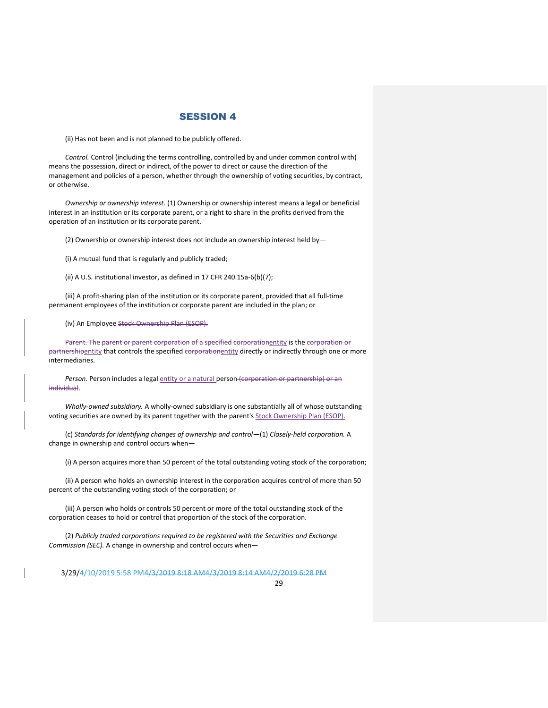(ii) Has not been and is not planned to be publicly offered.

*Control.* Control (including the terms controlling, controlled by and under common control with) means the possession, direct or indirect, of the power to direct or cause the direction of the management and policies of a person, whether through the ownership of voting securities, by contract, or otherwise.

*Ownership or ownership interest.* (1) Ownership or ownership interest means a legal or beneficial interest in an institution or its corporate parent, or a right to share in the profits derived from the operation of an institution or its corporate parent.

(2) Ownership or ownership interest does not include an ownership interest held by—

(i) A mutual fund that is regularly and publicly traded;

(ii) A U.S. institutional investor, as defined in 17 CFR 240.15a-6(b)(7);

(iii) A profit-sharing plan of the institution or its corporate parent, provided that all full-time permanent employees of the institution or corporate parent are included in the plan; or

(iv) An Employee Stock Ownership Plan (ESOP).

Parent. The parent or parent corporation of a specified corporationentity is the corporation or partnershipentity that controls the specified corporationentity directly or indirectly through one or more intermediaries.

Person. Person includes a legal entity or a natural person (corporation or partnership) or an individual.

*Wholly-owned subsidiary.* A wholly-owned subsidiary is one substantially all of whose outstanding voting securities are owned by its parent together with the parent's Stock Ownership Plan (ESOP).

(c) *Standards for identifying changes of ownership and control*—(1) *Closely-held corporation.* A change in ownership and control occurs when—

(i) A person acquires more than 50 percent of the total outstanding voting stock of the corporation;

(ii) A person who holds an ownership interest in the corporation acquires control of more than 50 percent of the outstanding voting stock of the corporation; or

(iii) A person who holds or controls 50 percent or more of the total outstanding stock of the corporation ceases to hold or control that proportion of the stock of the corporation.

(2) *Publicly traded corporations required to be registered with the Securities and Exchange Commission (SEC).* A change in ownership and control occurs when—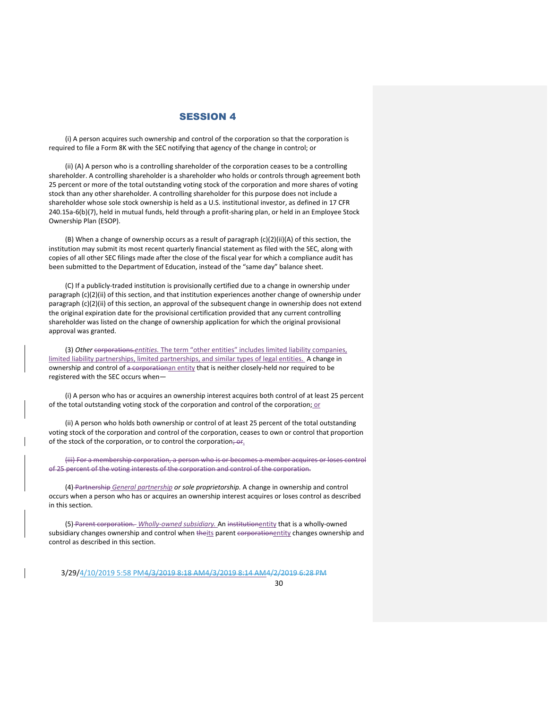(i) A person acquires such ownership and control of the corporation so that the corporation is required to file a Form 8K with the SEC notifying that agency of the change in control; or

(ii) (A) A person who is a controlling shareholder of the corporation ceases to be a controlling shareholder. A controlling shareholder is a shareholder who holds or controls through agreement both 25 percent or more of the total outstanding voting stock of the corporation and more shares of voting stock than any other shareholder. A controlling shareholder for this purpose does not include a shareholder whose sole stock ownership is held as a U.S. institutional investor, as defined in 17 CFR 240.15a-6(b)(7), held in mutual funds, held through a profit-sharing plan, or held in an Employee Stock Ownership Plan (ESOP).

(B) When a change of ownership occurs as a result of paragraph (c)(2)(ii)(A) of this section, the institution may submit its most recent quarterly financial statement as filed with the SEC, along with copies of all other SEC filings made after the close of the fiscal year for which a compliance audit has been submitted to the Department of Education, instead of the "same day" balance sheet.

(C) If a publicly-traded institution is provisionally certified due to a change in ownership under paragraph (c)(2)(ii) of this section, and that institution experiences another change of ownership under paragraph (c)(2)(ii) of this section, an approval of the subsequent change in ownership does not extend the original expiration date for the provisional certification provided that any current controlling shareholder was listed on the change of ownership application for which the original provisional approval was granted.

(3) *Other* corporations.*entities.* The term "other entities" includes limited liability companies, limited liability partnerships, limited partnerships, and similar types of legal entities. A change in ownership and control of a corporationan entity that is neither closely-held nor required to be registered with the SEC occurs when—

(i) A person who has or acquires an ownership interest acquires both control of at least 25 percent of the total outstanding voting stock of the corporation and control of the corporation; or

(ii) A person who holds both ownership or control of at least 25 percent of the total outstanding voting stock of the corporation and control of the corporation, ceases to own or control that proportion of the stock of the corporation, or to control the corporation; or.

(iii) For a membership corporation, a person who is or becomes a member acquires or loses control of 25 percent of the voting interests of the corporation and control of the corporation.

(4) Partnership *General partnership or sole proprietorship.* A change in ownership and control occurs when a person who has or acquires an ownership interest acquires or loses control as described in this section.

(5) Parent corporation. *Wholly-owned subsidiary.* An institutionentity that is a wholly-owned subsidiary changes ownership and control when theits parent corporationentity changes ownership and control as described in this section.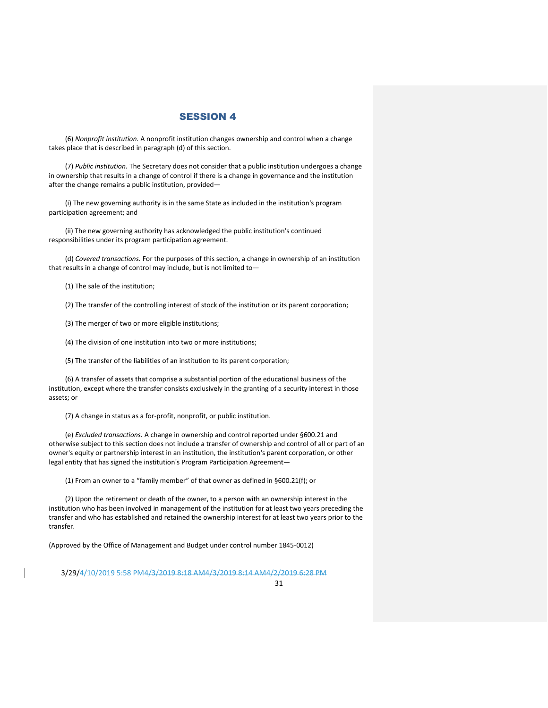(6) *Nonprofit institution.* A nonprofit institution changes ownership and control when a change takes place that is described in paragraph (d) of this section.

(7) *Public institution.* The Secretary does not consider that a public institution undergoes a change in ownership that results in a change of control if there is a change in governance and the institution after the change remains a public institution, provided—

(i) The new governing authority is in the same State as included in the institution's program participation agreement; and

(ii) The new governing authority has acknowledged the public institution's continued responsibilities under its program participation agreement.

(d) *Covered transactions.* For the purposes of this section, a change in ownership of an institution that results in a change of control may include, but is not limited to—

(1) The sale of the institution;

(2) The transfer of the controlling interest of stock of the institution or its parent corporation;

(3) The merger of two or more eligible institutions;

(4) The division of one institution into two or more institutions;

(5) The transfer of the liabilities of an institution to its parent corporation;

(6) A transfer of assets that comprise a substantial portion of the educational business of the institution, except where the transfer consists exclusively in the granting of a security interest in those assets; or

(7) A change in status as a for-profit, nonprofit, or public institution.

(e) *Excluded transactions.* A change in ownership and control reported under §600.21 and otherwise subject to this section does not include a transfer of ownership and control of all or part of an owner's equity or partnership interest in an institution, the institution's parent corporation, or other legal entity that has signed the institution's Program Participation Agreement—

(1) From an owner to a "family member" of that owner as defined in §600.21(f); or

(2) Upon the retirement or death of the owner, to a person with an ownership interest in the institution who has been involved in management of the institution for at least two years preceding the transfer and who has established and retained the ownership interest for at least two years prior to the transfer.

(Approved by the Office of Management and Budget under control number 1845-0012)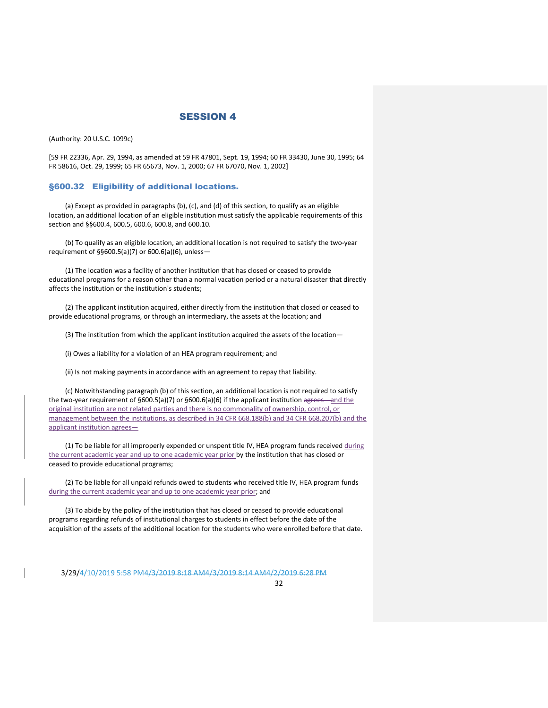(Authority: 20 U.S.C. 1099c)

[59 FR 22336, Apr. 29, 1994, as amended at 59 FR 47801, Sept. 19, 1994; 60 FR 33430, June 30, 1995; 64 FR 58616, Oct. 29, 1999; 65 FR 65673, Nov. 1, 2000; 67 FR 67070, Nov. 1, 2002]

#### §600.32 Eligibility of additional locations.

(a) Except as provided in paragraphs (b), (c), and (d) of this section, to qualify as an eligible location, an additional location of an eligible institution must satisfy the applicable requirements of this section and §§600.4, 600.5, 600.6, 600.8, and 600.10.

(b) To qualify as an eligible location, an additional location is not required to satisfy the two-year requirement of §§600.5(a)(7) or 600.6(a)(6), unless—

(1) The location was a facility of another institution that has closed or ceased to provide educational programs for a reason other than a normal vacation period or a natural disaster that directly affects the institution or the institution's students;

(2) The applicant institution acquired, either directly from the institution that closed or ceased to provide educational programs, or through an intermediary, the assets at the location; and

(3) The institution from which the applicant institution acquired the assets of the location—

(i) Owes a liability for a violation of an HEA program requirement; and

(ii) Is not making payments in accordance with an agreement to repay that liability.

(c) Notwithstanding paragraph (b) of this section, an additional location is not required to satisfy the two-year requirement of  $\S600.5(a)(7)$  or  $\S600.6(a)(6)$  if the applicant institution agrees—and the original institution are not related parties and there is no commonality of ownership, control, or management between the institutions, as described in 34 CFR 668.188(b) and 34 CFR 668.207(b) and the applicant institution agrees—

(1) To be liable for all improperly expended or unspent title IV, HEA program funds received during the current academic year and up to one academic year prior by the institution that has closed or ceased to provide educational programs;

(2) To be liable for all unpaid refunds owed to students who received title IV, HEA program funds during the current academic year and up to one academic year prior; and

(3) To abide by the policy of the institution that has closed or ceased to provide educational programs regarding refunds of institutional charges to students in effect before the date of the acquisition of the assets of the additional location for the students who were enrolled before that date.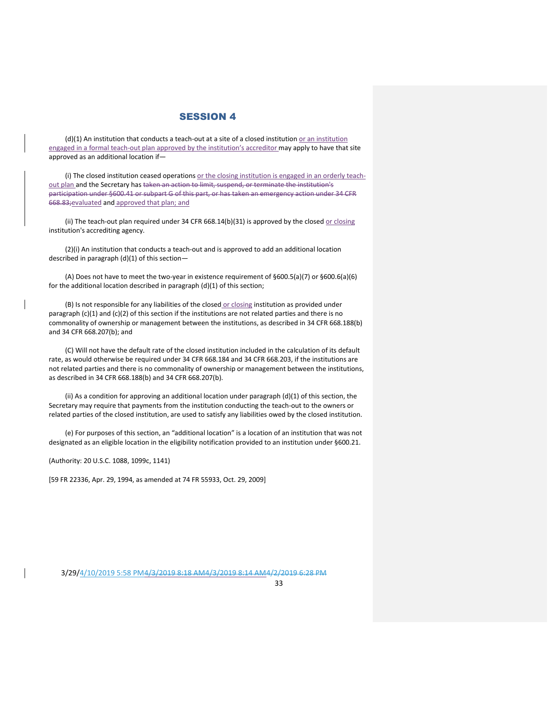$(d)(1)$  An institution that conducts a teach-out at a site of a closed institution or an institution engaged in a formal teach-out plan approved by the institution's accreditor may apply to have that site approved as an additional location if—

(i) The closed institution ceased operations or the closing institution is engaged in an orderly teachout plan and the Secretary has taken an action to limit, suspend, or terminate the institution's participation under §600.41 or subpart G of this part, or has taken an emergency action under 34 CFR 668.83;evaluated and approved that plan; and

(ii) The teach-out plan required under 34 CFR 668.14(b)(31) is approved by the closed  $or closing$ </u> institution's accrediting agency.

(2)(i) An institution that conducts a teach-out and is approved to add an additional location described in paragraph (d)(1) of this section—

(A) Does not have to meet the two-year in existence requirement of §600.5(a)(7) or §600.6(a)(6) for the additional location described in paragraph (d)(1) of this section;

(B) Is not responsible for any liabilities of the closed or closing institution as provided under paragraph (c)(1) and (c)(2) of this section if the institutions are not related parties and there is no commonality of ownership or management between the institutions, as described in 34 CFR 668.188(b) and 34 CFR 668.207(b); and

(C) Will not have the default rate of the closed institution included in the calculation of its default rate, as would otherwise be required under 34 CFR 668.184 and 34 CFR 668.203, if the institutions are not related parties and there is no commonality of ownership or management between the institutions, as described in 34 CFR 668.188(b) and 34 CFR 668.207(b).

(ii) As a condition for approving an additional location under paragraph (d)(1) of this section, the Secretary may require that payments from the institution conducting the teach-out to the owners or related parties of the closed institution, are used to satisfy any liabilities owed by the closed institution.

(e) For purposes of this section, an "additional location" is a location of an institution that was not designated as an eligible location in the eligibility notification provided to an institution under §600.21.

(Authority: 20 U.S.C. 1088, 1099c, 1141)

[59 FR 22336, Apr. 29, 1994, as amended at 74 FR 55933, Oct. 29, 2009]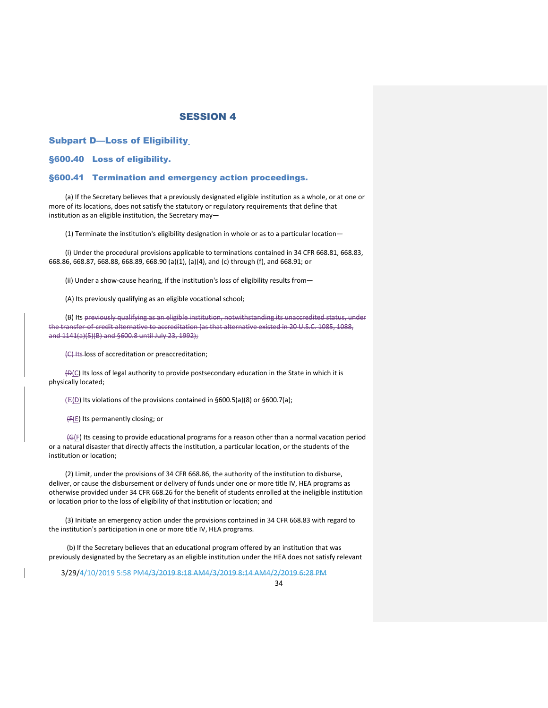Subpart D—Loss of Eligibilit[y](https://www.ecfr.gov/cgi-bin/text-idx?SID=6f30f56e818edacba81fd9cb84788ad9&mc=true&node=pt34.3.600&rgn=div5#_top)

§600.40 Loss of eligibility.

#### §600.41 Termination and emergency action proceedings.

(a) If the Secretary believes that a previously designated eligible institution as a whole, or at one or more of its locations, does not satisfy the statutory or regulatory requirements that define that institution as an eligible institution, the Secretary may—

(1) Terminate the institution's eligibility designation in whole or as to a particular location—

(i) Under the procedural provisions applicable to terminations contained in 34 CFR 668.81, 668.83, 668.86, 668.87, 668.88, 668.89, 668.90 (a)(1), (a)(4), and (c) through (f), and 668.91; or

(ii) Under a show-cause hearing, if the institution's loss of eligibility results from—

(A) Its previously qualifying as an eligible vocational school;

(B) Its previously qualifying as an eligible institution, notwithstanding its unaccredited status, under the transfer-of-credit alternative to accreditation (as that alternative existed in 20 U.S.C. 1085, 1088, and 1141(a)(5)(B) and §600.8 until July 23, 1992);

(C) Its loss of accreditation or preaccreditation;

 $\bigoplus$  (C) Its loss of legal authority to provide postsecondary education in the State in which it is physically located;

 $(E(D)$  Its violations of the provisions contained in §600.5(a)(8) or §600.7(a);

(F(E) Its permanently closing; or

(G(F) Its ceasing to provide educational programs for a reason other than a normal vacation period or a natural disaster that directly affects the institution, a particular location, or the students of the institution or location;

(2) Limit, under the provisions of 34 CFR 668.86, the authority of the institution to disburse, deliver, or cause the disbursement or delivery of funds under one or more title IV, HEA programs as otherwise provided under 34 CFR 668.26 for the benefit of students enrolled at the ineligible institution or location prior to the loss of eligibility of that institution or location; and

(3) Initiate an emergency action under the provisions contained in 34 CFR 668.83 with regard to the institution's participation in one or more title IV, HEA programs.

(b) If the Secretary believes that an educational program offered by an institution that was previously designated by the Secretary as an eligible institution under the HEA does not satisfy relevant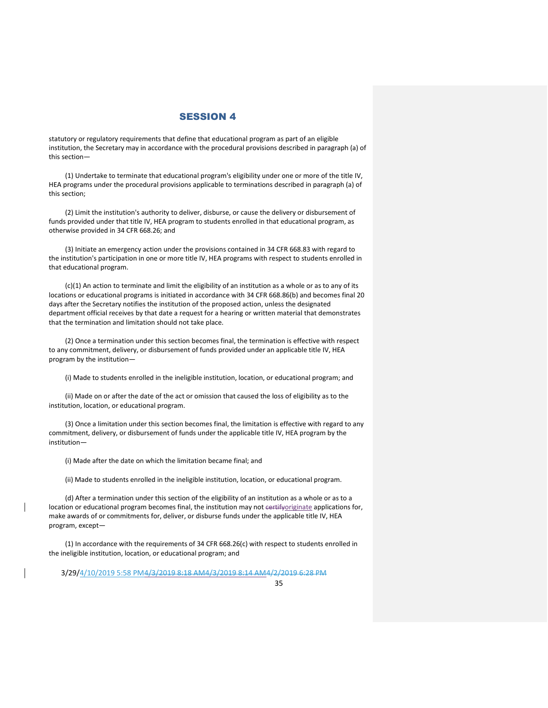statutory or regulatory requirements that define that educational program as part of an eligible institution, the Secretary may in accordance with the procedural provisions described in paragraph (a) of this section—

(1) Undertake to terminate that educational program's eligibility under one or more of the title IV, HEA programs under the procedural provisions applicable to terminations described in paragraph (a) of this section;

(2) Limit the institution's authority to deliver, disburse, or cause the delivery or disbursement of funds provided under that title IV, HEA program to students enrolled in that educational program, as otherwise provided in 34 CFR 668.26; and

(3) Initiate an emergency action under the provisions contained in 34 CFR 668.83 with regard to the institution's participation in one or more title IV, HEA programs with respect to students enrolled in that educational program.

(c)(1) An action to terminate and limit the eligibility of an institution as a whole or as to any of its locations or educational programs is initiated in accordance with 34 CFR 668.86(b) and becomes final 20 days after the Secretary notifies the institution of the proposed action, unless the designated department official receives by that date a request for a hearing or written material that demonstrates that the termination and limitation should not take place.

(2) Once a termination under this section becomes final, the termination is effective with respect to any commitment, delivery, or disbursement of funds provided under an applicable title IV, HEA program by the institution—

(i) Made to students enrolled in the ineligible institution, location, or educational program; and

(ii) Made on or after the date of the act or omission that caused the loss of eligibility as to the institution, location, or educational program.

(3) Once a limitation under this section becomes final, the limitation is effective with regard to any commitment, delivery, or disbursement of funds under the applicable title IV, HEA program by the institution—

(i) Made after the date on which the limitation became final; and

(ii) Made to students enrolled in the ineligible institution, location, or educational program.

(d) After a termination under this section of the eligibility of an institution as a whole or as to a location or educational program becomes final, the institution may not eertifyoriginate applications for, make awards of or commitments for, deliver, or disburse funds under the applicable title IV, HEA program, except—

(1) In accordance with the requirements of 34 CFR 668.26(c) with respect to students enrolled in the ineligible institution, location, or educational program; and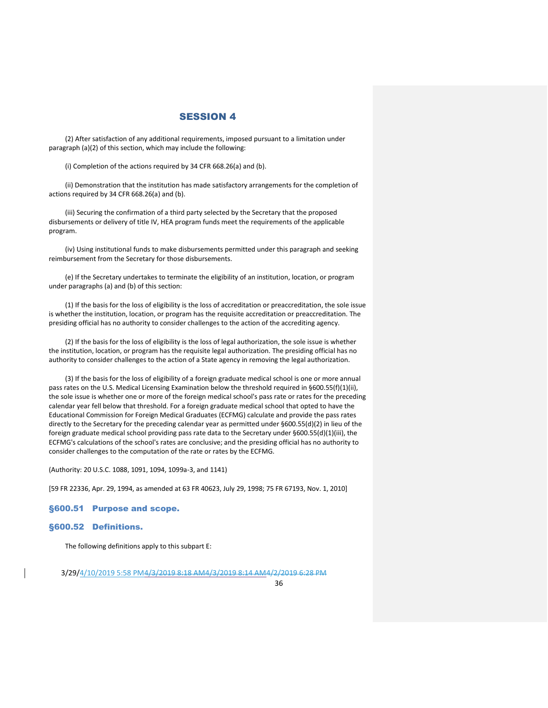(2) After satisfaction of any additional requirements, imposed pursuant to a limitation under paragraph (a)(2) of this section, which may include the following:

(i) Completion of the actions required by 34 CFR 668.26(a) and (b).

(ii) Demonstration that the institution has made satisfactory arrangements for the completion of actions required by 34 CFR 668.26(a) and (b).

(iii) Securing the confirmation of a third party selected by the Secretary that the proposed disbursements or delivery of title IV, HEA program funds meet the requirements of the applicable program.

(iv) Using institutional funds to make disbursements permitted under this paragraph and seeking reimbursement from the Secretary for those disbursements.

(e) If the Secretary undertakes to terminate the eligibility of an institution, location, or program under paragraphs (a) and (b) of this section:

(1) If the basis for the loss of eligibility is the loss of accreditation or preaccreditation, the sole issue is whether the institution, location, or program has the requisite accreditation or preaccreditation. The presiding official has no authority to consider challenges to the action of the accrediting agency.

(2) If the basis for the loss of eligibility is the loss of legal authorization, the sole issue is whether the institution, location, or program has the requisite legal authorization. The presiding official has no authority to consider challenges to the action of a State agency in removing the legal authorization.

(3) If the basis for the loss of eligibility of a foreign graduate medical school is one or more annual pass rates on the U.S. Medical Licensing Examination below the threshold required in §600.55(f)(1)(ii), the sole issue is whether one or more of the foreign medical school's pass rate or rates for the preceding calendar year fell below that threshold. For a foreign graduate medical school that opted to have the Educational Commission for Foreign Medical Graduates (ECFMG) calculate and provide the pass rates directly to the Secretary for the preceding calendar year as permitted under §600.55(d)(2) in lieu of the foreign graduate medical school providing pass rate data to the Secretary under §600.55(d)(1)(iii), the ECFMG's calculations of the school's rates are conclusive; and the presiding official has no authority to consider challenges to the computation of the rate or rates by the ECFMG.

(Authority: 20 U.S.C. 1088, 1091, 1094, 1099a-3, and 1141)

[59 FR 22336, Apr. 29, 1994, as amended at 63 FR 40623, July 29, 1998; 75 FR 67193, Nov. 1, 2010]

#### §600.51 Purpose and scope.

#### §600.52 Definitions.

The following definitions apply to this subpart E: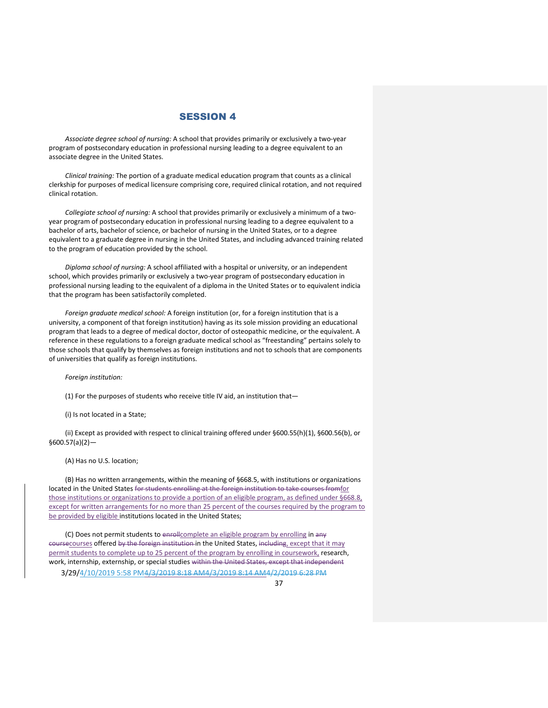*Associate degree school of nursing:* A school that provides primarily or exclusively a two-year program of postsecondary education in professional nursing leading to a degree equivalent to an associate degree in the United States.

*Clinical training:* The portion of a graduate medical education program that counts as a clinical clerkship for purposes of medical licensure comprising core, required clinical rotation, and not required clinical rotation.

*Collegiate school of nursing:* A school that provides primarily or exclusively a minimum of a twoyear program of postsecondary education in professional nursing leading to a degree equivalent to a bachelor of arts, bachelor of science, or bachelor of nursing in the United States, or to a degree equivalent to a graduate degree in nursing in the United States, and including advanced training related to the program of education provided by the school.

*Diploma school of nursing:* A school affiliated with a hospital or university, or an independent school, which provides primarily or exclusively a two-year program of postsecondary education in professional nursing leading to the equivalent of a diploma in the United States or to equivalent indicia that the program has been satisfactorily completed.

*Foreign graduate medical school:* A foreign institution (or, for a foreign institution that is a university, a component of that foreign institution) having as its sole mission providing an educational program that leads to a degree of medical doctor, doctor of osteopathic medicine, or the equivalent. A reference in these regulations to a foreign graduate medical school as "freestanding" pertains solely to those schools that qualify by themselves as foreign institutions and not to schools that are components of universities that qualify as foreign institutions.

#### *Foreign institution:*

(1) For the purposes of students who receive title IV aid, an institution that—

(i) Is not located in a State;

(ii) Except as provided with respect to clinical training offered under §600.55(h)(1), §600.56(b), or  $$600.57(a)(2)$  —

#### (A) Has no U.S. location;

(B) Has no written arrangements, within the meaning of §668.5, with institutions or organizations located in the United States for students enrolling at the foreign institution to take courses fromfor those institutions or organizations to provide a portion of an eligible program, as defined under §668.8, except for written arrangements for no more than 25 percent of the courses required by the program to be provided by eligible institutions located in the United States;

(C) Does not permit students to enrollcomplete an eligible program by enrolling in any coursecourses offered by the foreign institution in the United States, including, except that it may permit students to complete up to 25 percent of the program by enrolling in coursework, research, work, internship, externship, or special studies within the United States, except that independent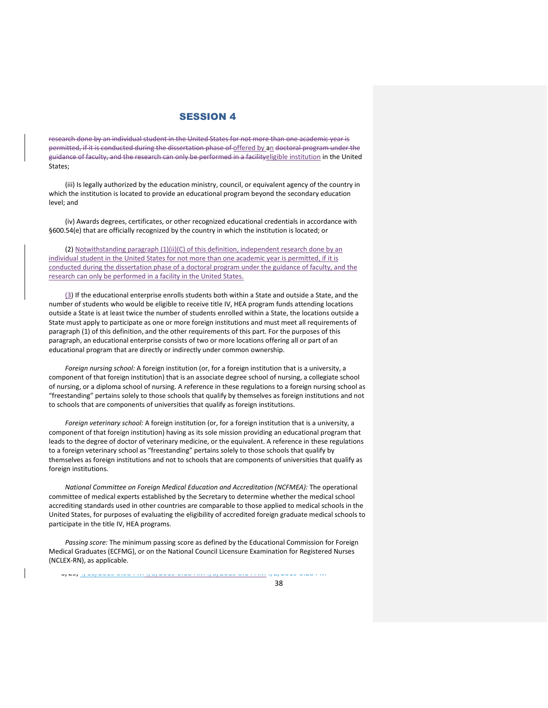research done by an individual student in the United States for not more than one academic year is permitted, if it is conducted during the dissertation phase of offered by an doctoral program under the guidance of faculty, and the research can only be performed in a facilityeligible institution in the United States;

(iii) Is legally authorized by the education ministry, council, or equivalent agency of the country in which the institution is located to provide an educational program beyond the secondary education level; and

(iv) Awards degrees, certificates, or other recognized educational credentials in accordance with §600.54(e) that are officially recognized by the country in which the institution is located; or

(2) Notwithstanding paragraph (1)(ii)(C) of this definition, independent research done by an individual student in the United States for not more than one academic year is permitted, if it is conducted during the dissertation phase of a doctoral program under the guidance of faculty, and the research can only be performed in a facility in the United States.

(3) If the educational enterprise enrolls students both within a State and outside a State, and the number of students who would be eligible to receive title IV, HEA program funds attending locations outside a State is at least twice the number of students enrolled within a State, the locations outside a State must apply to participate as one or more foreign institutions and must meet all requirements of paragraph (1) of this definition, and the other requirements of this part. For the purposes of this paragraph, an educational enterprise consists of two or more locations offering all or part of an educational program that are directly or indirectly under common ownership.

*Foreign nursing school:* A foreign institution (or, for a foreign institution that is a university, a component of that foreign institution) that is an associate degree school of nursing, a collegiate school of nursing, or a diploma school of nursing. A reference in these regulations to a foreign nursing school as "freestanding" pertains solely to those schools that qualify by themselves as foreign institutions and not to schools that are components of universities that qualify as foreign institutions.

*Foreign veterinary school:* A foreign institution (or, for a foreign institution that is a university, a component of that foreign institution) having as its sole mission providing an educational program that leads to the degree of doctor of veterinary medicine, or the equivalent. A reference in these regulations to a foreign veterinary school as "freestanding" pertains solely to those schools that qualify by themselves as foreign institutions and not to schools that are components of universities that qualify as foreign institutions.

*National Committee on Foreign Medical Education and Accreditation (NCFMEA):* The operational committee of medical experts established by the Secretary to determine whether the medical school accrediting standards used in other countries are comparable to those applied to medical schools in the United States, for purposes of evaluating the eligibility of accredited foreign graduate medical schools to participate in the title IV, HEA programs.

*Passing score:* The minimum passing score as defined by the Educational Commission for Foreign Medical Graduates (ECFMG), or on the National Council Licensure Examination for Registered Nurses (NCLEX-RN), as applicable.

יזו זו טבער כבשבע קבן *(דינור דברט כבטבן ט*ן דוזורן טבער כמונוסטים אינג אינג טבער כבשבע קבל **קטב**ן <mark>ו</mark>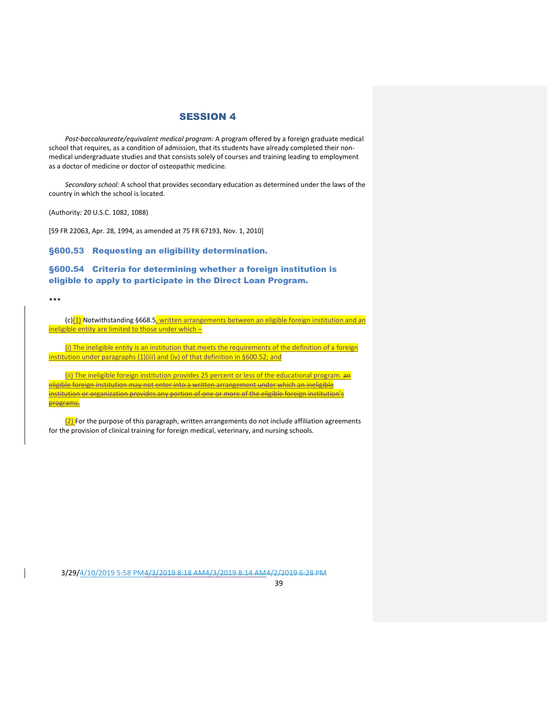*Post-baccalaureate/equivalent medical program:* A program offered by a foreign graduate medical school that requires, as a condition of admission, that its students have already completed their nonmedical undergraduate studies and that consists solely of courses and training leading to employment as a doctor of medicine or doctor of osteopathic medicine.

*Secondary school:* A school that provides secondary education as determined under the laws of the country in which the school is located.

(Authority: 20 U.S.C. 1082, 1088)

[59 FR 22063, Apr. 28, 1994, as amended at 75 FR 67193, Nov. 1, 2010]

§600.53 Requesting an eligibility determination.

## §600.54 Criteria for determining whether a foreign institution is eligible to apply to participate in the Direct Loan Program.

#### \*\*\*

(c)<sup>(1)</sup> Notwithstanding §668.5, written arrangements between an eligible foreign institution and an ineligible entity are limited to those under which –

(i) The ineligible entity is an institution that meets the requirements of the definition of a foreign institution under paragraphs (1)(iii) and (iv) of that definition in §600.52; and

(ii) The ineligible foreign institution provides 25 percent or less of the educational program. an eligible foreign institution may not enter into a written arrangement under which an ineligible institution or organization provides any portion of one or more of the eligible foreign institution's **programs.** 

 $(2)$  For the purpose of this paragraph, written arrangements do not include affiliation agreements for the provision of clinical training for foreign medical, veterinary, and nursing schools.